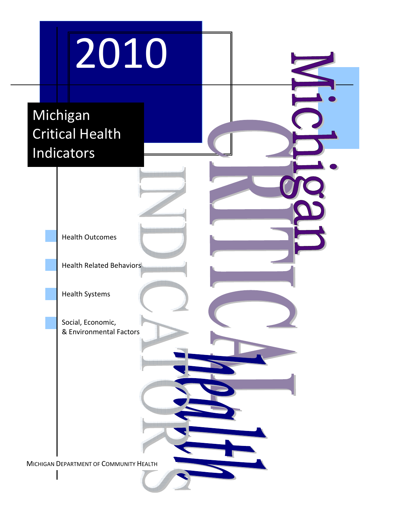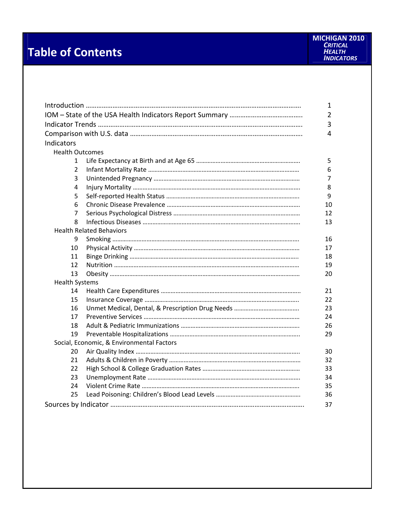# **Table of Contents**

|                        |                                           | 1  |  |  |  |  |
|------------------------|-------------------------------------------|----|--|--|--|--|
|                        |                                           |    |  |  |  |  |
|                        |                                           |    |  |  |  |  |
|                        |                                           | 4  |  |  |  |  |
| Indicators             |                                           |    |  |  |  |  |
| <b>Health Outcomes</b> |                                           |    |  |  |  |  |
| 1                      |                                           | 5  |  |  |  |  |
| 2                      |                                           | 6  |  |  |  |  |
| 3                      |                                           | 7  |  |  |  |  |
| 4                      |                                           | 8  |  |  |  |  |
| 5                      |                                           | 9  |  |  |  |  |
| 6                      |                                           | 10 |  |  |  |  |
| 7                      |                                           | 12 |  |  |  |  |
| 8                      |                                           | 13 |  |  |  |  |
|                        | <b>Health Related Behaviors</b>           |    |  |  |  |  |
| 9                      |                                           | 16 |  |  |  |  |
| 10                     |                                           | 17 |  |  |  |  |
| 11                     |                                           | 18 |  |  |  |  |
| 12                     |                                           | 19 |  |  |  |  |
| 13                     |                                           | 20 |  |  |  |  |
| <b>Health Systems</b>  |                                           |    |  |  |  |  |
| 14                     |                                           | 21 |  |  |  |  |
| 15                     |                                           | 22 |  |  |  |  |
| 16                     |                                           | 23 |  |  |  |  |
| 17                     |                                           | 24 |  |  |  |  |
| 18                     |                                           | 26 |  |  |  |  |
| 19                     |                                           | 29 |  |  |  |  |
|                        | Social, Economic, & Environmental Factors |    |  |  |  |  |
| 20                     |                                           | 30 |  |  |  |  |
| 21                     |                                           | 32 |  |  |  |  |
| 22                     |                                           | 33 |  |  |  |  |
| 23                     |                                           | 34 |  |  |  |  |
| 24                     |                                           | 35 |  |  |  |  |
| 25<br>36               |                                           |    |  |  |  |  |
|                        |                                           | 37 |  |  |  |  |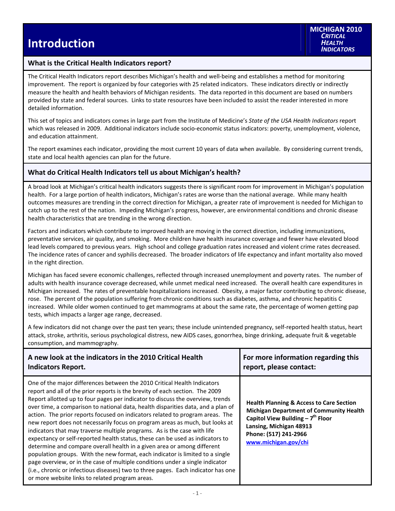### **What is the Critical Health Indicators report?**

The Critical Health Indicators report describes Michigan's health and well‐being and establishes a method for monitoring improvement. The report is organized by four categories with 25 related indicators. These indicators directly or indirectly measure the health and health behaviors of Michigan residents. The data reported in this document are based on numbers provided by state and federal sources. Links to state resources have been included to assist the reader interested in more detailed information.

This set of topics and indicators comes in large part from the Institute of Medicine's *State of the USA Health Indicators* report which was released in 2009. Additional indicators include socio-economic status indicators: poverty, unemployment, violence, and education attainment.

The report examines each indicator, providing the most current 10 years of data when available. By considering current trends, state and local health agencies can plan for the future.

### **What do Critical Health Indicators tell us about Michigan's health?**

A broad look at Michigan's critical health indicators suggests there is significant room for improvement in Michigan's population health. For a large portion of health indicators, Michigan's rates are worse than the national average. While many health outcomes measures are trending in the correct direction for Michigan, a greater rate of improvement is needed for Michigan to catch up to the rest of the nation. Impeding Michigan's progress, however, are environmental conditions and chronic disease health characteristics that are trending in the wrong direction.

Factors and indicators which contribute to improved health are moving in the correct direction, including immunizations, preventative services, air quality, and smoking. More children have health insurance coverage and fewer have elevated blood lead levels compared to previous years. High school and college graduation rates increased and violent crime rates decreased. The incidence rates of cancer and syphilis decreased. The broader indicators of life expectancy and infant mortality also moved in the right direction.

Michigan has faced severe economic challenges, reflected through increased unemployment and poverty rates. The number of adults with health insurance coverage decreased, while unmet medical need increased. The overall health care expenditures in Michigan increased. The rates of preventable hospitalizations increased. Obesity, a major factor contributing to chronic disease, rose. The percent of the population suffering from chronic conditions such as diabetes, asthma, and chronic hepatitis C increased. While older women continued to get mammograms at about the same rate, the percentage of women getting pap tests, which impacts a larger age range, decreased.

A few indicators did not change over the past ten years; these include unintended pregnancy, self-reported health status, heart attack, stroke, arthritis, serious psychological distress, new AIDS cases, gonorrhea, binge drinking, adequate fruit & vegetable consumption, and mammography.

| A new look at the indicators in the 2010 Critical Health                                                                                                                                                                                                                                                                                                                                                                                                                                                                                                                                                                                                                                                                                                                                                                                                                                                                                                                                                                                          | For more information regarding this                                                                                                                                                                                        |
|---------------------------------------------------------------------------------------------------------------------------------------------------------------------------------------------------------------------------------------------------------------------------------------------------------------------------------------------------------------------------------------------------------------------------------------------------------------------------------------------------------------------------------------------------------------------------------------------------------------------------------------------------------------------------------------------------------------------------------------------------------------------------------------------------------------------------------------------------------------------------------------------------------------------------------------------------------------------------------------------------------------------------------------------------|----------------------------------------------------------------------------------------------------------------------------------------------------------------------------------------------------------------------------|
| <b>Indicators Report.</b>                                                                                                                                                                                                                                                                                                                                                                                                                                                                                                                                                                                                                                                                                                                                                                                                                                                                                                                                                                                                                         | report, please contact:                                                                                                                                                                                                    |
| One of the major differences between the 2010 Critical Health Indicators<br>report and all of the prior reports is the brevity of each section. The 2009<br>Report allotted up to four pages per indicator to discuss the overview, trends<br>over time, a comparison to national data, health disparities data, and a plan of<br>action. The prior reports focused on indicators related to program areas. The<br>new report does not necessarily focus on program areas as much, but looks at<br>indicators that may traverse multiple programs. As is the case with life<br>expectancy or self-reported health status, these can be used as indicators to<br>determine and compare overall health in a given area or among different<br>population groups. With the new format, each indicator is limited to a single<br>page overview, or in the case of multiple conditions under a single indicator<br>(i.e., chronic or infectious diseases) two to three pages. Each indicator has one<br>or more website links to related program areas. | <b>Health Planning &amp; Access to Care Section</b><br><b>Michigan Department of Community Health</b><br>Capitol View Building $-7^{th}$ Floor<br>Lansing, Michigan 48913<br>Phone: (517) 241-2966<br>www.michigan.gov/chi |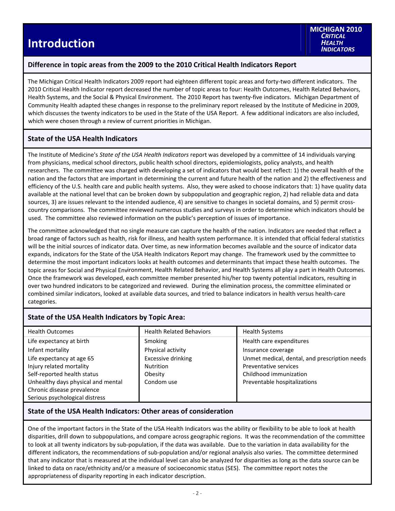## **Introduction**

### **Difference in topic areas from the 2009 to the 2010 Critical Health Indicators Report**

The Michigan Critical Health Indicators 2009 report had eighteen different topic areas and forty-two different indicators. The 2010 Critical Health Indicator report decreased the number of topic areas to four: Health Outcomes, Health Related Behaviors, Health Systems, and the Social & Physical Environment. The 2010 Report has twenty‐five indicators. Michigan Department of Community Health adapted these changes in response to the preliminary report released by the Institute of Medicine in 2009, which discusses the twenty indicators to be used in the State of the USA Report. A few additional indicators are also included, which were chosen through a review of current priorities in Michigan.

### **State of the USA Health Indicators**

The Institute of Medicine's *State of the USA Health Indicators* report was developed by a committee of 14 individuals varying from physicians, medical school directors, public health school directors, epidemiologists, policy analysts, and health researchers. The committee was charged with developing a set of indicators that would best reflect: 1) the overall health of the nation and the factors that are important in determining the current and future health of the nation and 2) the effectiveness and efficiency of the U.S. health care and public health systems. Also, they were asked to choose indicators that: 1) have quality data available at the national level that can be broken down by subpopulation and geographic region, 2) had reliable data and data sources, 3) are issues relevant to the intended audience, 4) are sensitive to changes in societal domains, and 5) permit crosscountry comparisons. The committee reviewed numerous studies and surveys in order to determine which indicators should be used. The committee also reviewed information on the public's perception of issues of importance.

The committee acknowledged that no single measure can capture the health of the nation. Indicators are needed that reflect a broad range of factors such as health, risk for illness, and health system performance. It is intended that official federal statistics will be the initial sources of indicator data. Over time, as new information becomes available and the source of indicator data expands, indicators for the State of the USA Health Indicators Report may change. The framework used by the committee to determine the most important indicators looks at health outcomes and determinants that impact these health outcomes. The topic areas for Social and Physical Environment, Health Related Behavior, and Health Systems all play a part in Health Outcomes. Once the framework was developed, each committee member presented his/her top twenty potential indicators, resulting in over two hundred indicators to be categorized and reviewed. During the elimination process, the committee eliminated or combined similar indicators, looked at available data sources, and tried to balance indicators in health versus health‐care categories.

### **State of the USA Health Indicators by Topic Area:**

| <b>Health Outcomes</b>             | <b>Health Related Behaviors</b> | <b>Health Systems</b>                         |
|------------------------------------|---------------------------------|-----------------------------------------------|
| Life expectancy at birth           | Smoking                         | Health care expenditures                      |
| Infant mortality                   | Physical activity               | Insurance coverage                            |
| Life expectancy at age 65          | Excessive drinking              | Unmet medical, dental, and prescription needs |
| Injury related mortality           | <b>Nutrition</b>                | Preventative services                         |
| Self-reported health status        | Obesity                         | Childhood immunization                        |
| Unhealthy days physical and mental | Condom use                      | Preventable hospitalizations                  |
| Chronic disease prevalence         |                                 |                                               |
| Serious psychological distress     |                                 |                                               |

### **State of the USA Health Indicators: Other areas of consideration**

One of the important factors in the State of the USA Health Indicators was the ability or flexibility to be able to look at health disparities, drill down to subpopulations, and compare across geographic regions. It was the recommendation of the committee to look at all twenty indicators by sub‐population, if the data was available. Due to the variation in data availability for the different indicators, the recommendations of sub‐population and/or regional analysis also varies. The committee determined that any indicator that is measured at the individual level can also be analyzed for disparities as long as the data source can be linked to data on race/ethnicity and/or a measure of socioeconomic status (SES). The committee report notes the appropriateness of disparity reporting in each indicator description.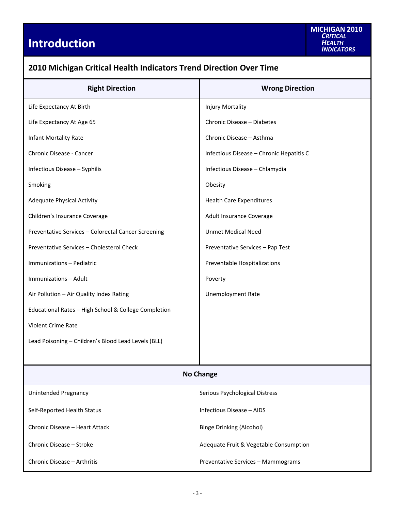# **Introduction**

| 2010 Michigan Critical Health Indicators Trend Direction Over Time |                                          |  |  |  |  |  |
|--------------------------------------------------------------------|------------------------------------------|--|--|--|--|--|
| <b>Right Direction</b>                                             | <b>Wrong Direction</b>                   |  |  |  |  |  |
| Life Expectancy At Birth                                           | Injury Mortality                         |  |  |  |  |  |
| Life Expectancy At Age 65                                          | Chronic Disease - Diabetes               |  |  |  |  |  |
| Infant Mortality Rate                                              | Chronic Disease - Asthma                 |  |  |  |  |  |
| Chronic Disease - Cancer                                           | Infectious Disease - Chronic Hepatitis C |  |  |  |  |  |
| Infectious Disease - Syphilis                                      | Infectious Disease - Chlamydia           |  |  |  |  |  |
| Smoking                                                            | Obesity                                  |  |  |  |  |  |
| <b>Adequate Physical Activity</b>                                  | <b>Health Care Expenditures</b>          |  |  |  |  |  |
| Children's Insurance Coverage                                      | Adult Insurance Coverage                 |  |  |  |  |  |
| Preventative Services - Colorectal Cancer Screening                | <b>Unmet Medical Need</b>                |  |  |  |  |  |
| Preventative Services - Cholesterol Check                          | Preventative Services - Pap Test         |  |  |  |  |  |
| Immunizations - Pediatric                                          | Preventable Hospitalizations             |  |  |  |  |  |
| Immunizations - Adult                                              | Poverty                                  |  |  |  |  |  |
| Air Pollution - Air Quality Index Rating                           | <b>Unemployment Rate</b>                 |  |  |  |  |  |
| Educational Rates - High School & College Completion               |                                          |  |  |  |  |  |
| Violent Crime Rate                                                 |                                          |  |  |  |  |  |
| Lead Poisoning - Children's Blood Lead Levels (BLL)                |                                          |  |  |  |  |  |
|                                                                    |                                          |  |  |  |  |  |
|                                                                    | <b>No Change</b>                         |  |  |  |  |  |
| Unintended Pregnancy                                               | Serious Psychological Distress           |  |  |  |  |  |
| Self-Reported Health Status                                        | Infectious Disease - AIDS                |  |  |  |  |  |
| Chronic Disease - Heart Attack                                     | <b>Binge Drinking (Alcohol)</b>          |  |  |  |  |  |
| Chronic Disease - Stroke                                           | Adequate Fruit & Vegetable Consumption   |  |  |  |  |  |
| Chronic Disease - Arthritis                                        | Preventative Services - Mammograms       |  |  |  |  |  |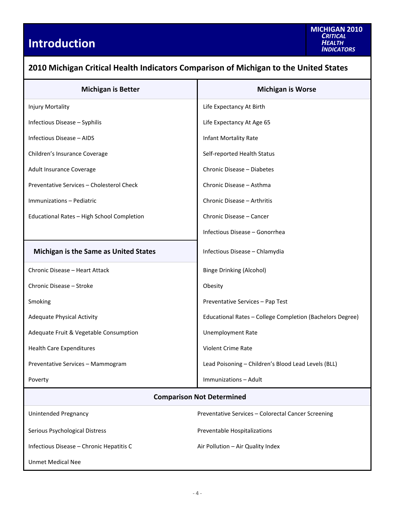# **Introduction**

Unmet Medical Nee

| 2010 Milchigan Chucai Health Mulcators Companson or Milchigan to the Onited States |                                                           |  |  |  |  |  |
|------------------------------------------------------------------------------------|-----------------------------------------------------------|--|--|--|--|--|
| <b>Michigan is Better</b>                                                          | <b>Michigan is Worse</b>                                  |  |  |  |  |  |
| Injury Mortality                                                                   | Life Expectancy At Birth                                  |  |  |  |  |  |
| Infectious Disease - Syphilis                                                      | Life Expectancy At Age 65                                 |  |  |  |  |  |
| Infectious Disease - AIDS                                                          | Infant Mortality Rate                                     |  |  |  |  |  |
| Children's Insurance Coverage                                                      | Self-reported Health Status                               |  |  |  |  |  |
| Adult Insurance Coverage                                                           | Chronic Disease - Diabetes                                |  |  |  |  |  |
| Preventative Services - Cholesterol Check                                          | Chronic Disease - Asthma                                  |  |  |  |  |  |
| Immunizations - Pediatric                                                          | Chronic Disease - Arthritis                               |  |  |  |  |  |
| Educational Rates - High School Completion                                         | Chronic Disease - Cancer                                  |  |  |  |  |  |
|                                                                                    | Infectious Disease - Gonorrhea                            |  |  |  |  |  |
| <b>Michigan is the Same as United States</b>                                       | Infectious Disease - Chlamydia                            |  |  |  |  |  |
| Chronic Disease - Heart Attack                                                     | <b>Binge Drinking (Alcohol)</b>                           |  |  |  |  |  |
| Chronic Disease - Stroke                                                           | Obesity                                                   |  |  |  |  |  |
| Smoking                                                                            | Preventative Services - Pap Test                          |  |  |  |  |  |
| <b>Adequate Physical Activity</b>                                                  | Educational Rates - College Completion (Bachelors Degree) |  |  |  |  |  |
| Adequate Fruit & Vegetable Consumption                                             | <b>Unemployment Rate</b>                                  |  |  |  |  |  |
| <b>Health Care Expenditures</b>                                                    | Violent Crime Rate                                        |  |  |  |  |  |
| Preventative Services - Mammogram                                                  | Lead Poisoning - Children's Blood Lead Levels (BLL)       |  |  |  |  |  |
| Poverty                                                                            | Immunizations - Adult                                     |  |  |  |  |  |
| <b>Comparison Not Determined</b>                                                   |                                                           |  |  |  |  |  |
| <b>Unintended Pregnancy</b>                                                        | Preventative Services - Colorectal Cancer Screening       |  |  |  |  |  |
| Serious Psychological Distress                                                     | Preventable Hospitalizations                              |  |  |  |  |  |
| Infectious Disease - Chronic Hepatitis C                                           | Air Pollution - Air Quality Index                         |  |  |  |  |  |

### **2010 Michigan Critical Health Indicators Comparison of Michigan to the United States**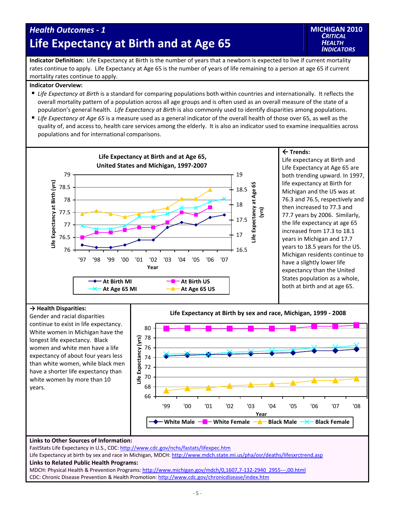## *Health Outcomes ‐ 1* **Life Expectancy at Birth and at Age 65**

**Indicator Definition:** Life Expectancy at Birth is the number of years that a newborn is expected to live if current mortality rates continue to apply. Life Expectancy at Age 65 is the number of years of life remaining to a person at age 65 if current mortality rates continue to apply.

#### **Indicator Overview:**

- *Life Expectancy at Birth* is a standard for comparing populations both within countries and internationally. It reflects the overall mortality pattern of a population across all age groups and is often used as an overall measure of the state of a population's general health. *Life Expectancy at Birth* is also commonly used to identify disparities among populations.
- *Life Expectancy at Age 65* is a measure used as a general indicator of the overall health of those over 65, as well as the quality of, and access to, health care services among the elderly. It is also an indicator used to examine inequalities across populations and for international comparisons.



#### **Trends:**

Life expectancy at Birth and Life Expectancy at Age 65 are both trending upward. In 1997, life expectancy at Birth for Michigan and the US was at 76.3 and 76.5, respectively and then increased to 77.3 and 77.7 years by 2006. Similarly, the life expectancy at age 65 increased from 17.3 to 18.1 years in Michigan and 17.7 years to 18.5 years for the US. Michigan residents continue to have a slightly lower life expectancy than the United States population as a whole, both at birth and at age 65.

#### **→ Health Disparities:**

Gender and racial disparities continue to exist in life expectancy. White women in Michigan have the longest life expectancy. Black women and white men have a life expectancy of about four years less than white women, while black men have a shorter life expectancy than white women by more than 10 years.



#### **Links to Other Sources of Information:**

FastStats Life Expectancy in U.S., CDC: http://www.cdc.gov/nchs/fastats/lifexpec.htm

Life Expectancy at birth by sex and race in Michigan, MDCH: http://www.mdch.state.mi.us/pha/osr/deaths/lifesxrctrend.asp

#### **Links to Related Public Health Programs:**

MDCH: Physical Health & Prevention Programs: http://www.michigan.gov/mdch/0,1607,7‐132‐2940\_2955‐‐‐,00.html CDC: Chronic Disease Prevention & Health Promotion: http://www.cdc.gov/chronicdisease/index.htm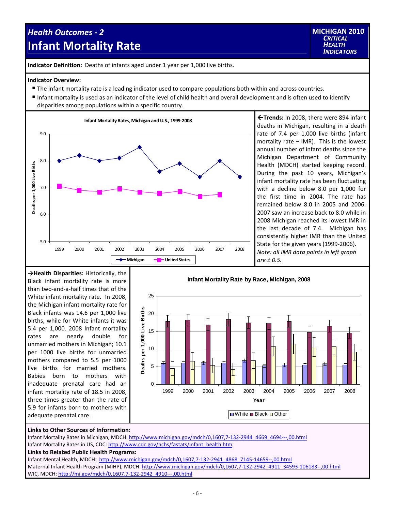## *Health Outcomes ‐ 2* **Infant Mortality Rate**



**Indicator Definition:** Deaths of infants aged under 1 year per 1,000 live births.

#### **Indicator Overview:**

- The infant mortality rate is a leading indicator used to compare populations both within and across countries.
- Infant mortality is used as an indicator of the level of child health and overall development and is often used to identify disparities among populations within a specific country.



**Trends:** In 2008, there were 894 infant deaths in Michigan, resulting in a death rate of 7.4 per 1,000 live births (infant mortality rate – IMR). This is the lowest annual number of infant deaths since the Michigan Department of Community Health (MDCH) started keeping record. During the past 10 years, Michigan's infant mortality rate has been fluctuating with a decline below 8.0 per 1,000 for the first time in 2004. The rate has remained below 8.0 in 2005 and 2006. 2007 saw an increase back to 8.0 while in 2008 Michigan reached its lowest IMR in the last decade of 7.4. Michigan has consistently higher IMR than the United State for the given years (1999-2006). *Note: all IMR data points in left graph are ± 0.5.*

**→Health Disparities:** Historically, the Black infant mortality rate is more than two‐and‐a‐half times that of the White infant mortality rate. In 2008, the Michigan infant mortality rate for Black infants was 14.6 per 1,000 live births, while for White infants it was 5.4 per 1,000. 2008 Infant mortality rates are nearly double for unmarried mothers in Michigan; 10.1 per 1000 live births for unmarried mothers compared to 5.5 per 1000 live births for married mothers. Babies born to mothers with inadequate prenatal care had an infant mortality rate of 18.5 in 2008, three times greater than the rate of 5.9 for infants born to mothers with adequate prenatal care.



#### **Links to Other Sources of Information:**

Infant Mortality Rates in Michigan, MDCH: http://www.michigan.gov/mdch/0,1607,7‐132‐2944\_4669\_4694‐‐‐,00.html Infant Mortality Rates in US, CDC: http://www.cdc.gov/nchs/fastats/infant\_health.htm

#### **Links to Related Public Health Programs:**

Infant Mental Health, MDCH: http://www.michigan.gov/mdch/0,1607,7‐132‐2941\_4868\_7145‐14659‐‐,00.html Maternal Infant Health Program (MIHP), MDCH: http://www.michigan.gov/mdch/0,1607,7-132-2942\_4911\_34593-106183--,00.html WIC, MDCH: http://mi.gov/mdch/0,1607,7-132-2942\_4910---,00.html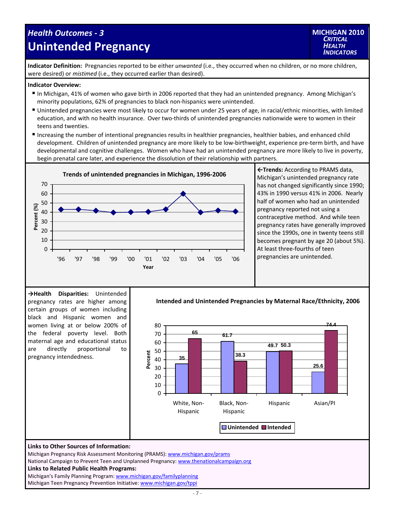### *Health Outcomes ‐ 3* **Unintended Pregnancy**



**Indicator Definition:** Pregnancies reported to be either *unwanted* (i.e., they occurred when no children, or no more children, were desired) or *mistimed* (i.e., they occurred earlier than desired).

#### **Indicator Overview:**

- In Michigan, 41% of women who gave birth in 2006 reported that they had an unintended pregnancy. Among Michigan's minority populations, 62% of pregnancies to black non‐hispanics were unintended.
- Unintended pregnancies were most likely to occur for women under 25 years of age, in racial/ethnic minorities, with limited education, and with no health insurance. Over two-thirds of unintended pregnancies nationwide were to women in their teens and twenties.
- Increasing the number of intentional pregnancies results in healthier pregnancies, healthier babies, and enhanced child development. Children of unintended pregnancy are more likely to be low‐birthweight, experience pre‐term birth, and have developmental and cognitive challenges. Women who have had an unintended pregnancy are more likely to live in poverty, begin prenatal care later, and experience the dissolution of their relationship with partners.



**←Trends:** According to PRAMS data, Michigan's unintended pregnancy rate has not changed significantly since 1990; 43% in 1990 versus 41% in 2006. Nearly half of women who had an unintended pregnancy reported not using a contraceptive method. And while teen pregnancy rates have generally improved since the 1990s, one in twenty teens still becomes pregnant by age 20 (about 5%). At least three‐fourths of teen pregnancies are unintended.

**→Health Disparities:** Unintended pregnancy rates are higher among certain groups of women including black and Hispanic women and women living at or below 200% of the federal poverty level. Both maternal age and educational status are directly proportional to pregnancy intendedness.

**Intended and Unintended Pregnancies by Maternal Race/Ethnicity, 2006**



#### **Links to Other Sources of Information:**

Michigan Pregnancy Risk Assessment Monitoring (PRAMS): www.michigan.gov/prams

National Campaign to Prevent Teen and Unplanned Pregnancy: www.thenationalcampaign.org **Links to Related Public Health Programs:** Michigan's Family Planning Program: www.michigan.gov/familyplanning

Michigan Teen Pregnancy Prevention Initiative: www.michigan.gov/tppi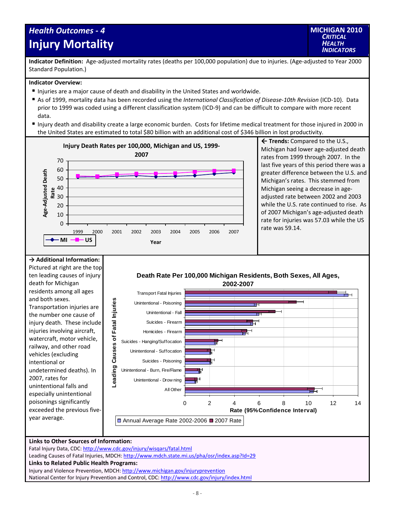## *Health Outcomes ‐ 4* **Injury Mortality**

**Indicator Definition:** Age-adjusted mortality rates (deaths per 100,000 population) due to injuries. (Age-adjusted to Year 2000 Standard Population.)

#### **Indicator Overview:**

- Injuries are a major cause of death and disability in the United States and worldwide.
- As of 1999, mortality data has been recorded using the *International Classification of Disease‐10th Revision* (ICD‐10). Data prior to 1999 was coded using a different classification system (ICD‐9) and can be difficult to compare with more recent data.
- Injury death and disability create a large economic burden. Costs for lifetime medical treatment for those injured in 2000 in the United States are estimated to total \$80 billion with an additional cost of \$346 billion in lost productivity.



 **Trends:** Compared to the U.S., Michigan had lower age‐adjusted death rates from 1999 through 2007. In the last five years of this period there was a greater difference between the U.S. and Michigan's rates. This stemmed from Michigan seeing a decrease in age‐ adjusted rate between 2002 and 2003 while the U.S. rate continued to rise. As of 2007 Michigan's age‐adjusted death rate for injuries was 57.03 while the US rate was 59.14.

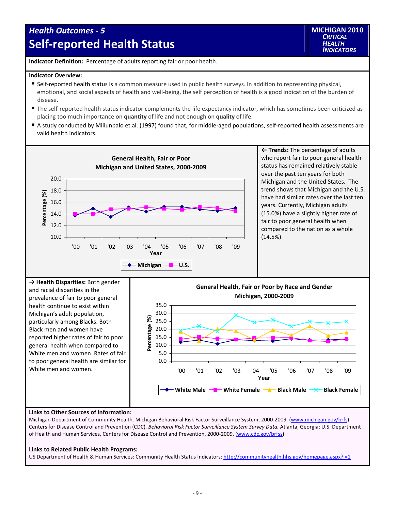## *Health Outcomes ‐ 5*  **Self‐reported Health Status**

**Indicator Definition:** Percentage of adults reporting fair or poor health.

#### **Indicator Overview:**

- Self-reported health status is a common measure used in public health surveys. In addition to representing physical, emotional, and social aspects of health and well-being, the self perception of health is a good indication of the burden of disease.
- The self-reported health status indicator complements the life expectancy indicator, which has sometimes been criticized as placing too much importance on **quantity** of life and not enough on **quality** of life.
- A study conducted by Miilunpalo et al. (1997) found that, for middle-aged populations, self-reported health assessments are valid health indicators.



#### **Links to Other Sources of Information:**

Michigan Department of Community Health. Michigan Behavioral Risk Factor Surveillance System, 2000-2009. (www.michigan.gov/brfs) Centers for Disease Control and Prevention (CDC). *Behavioral Risk Factor Surveillance System Survey Data.* Atlanta, Georgia: U.S. Department of Health and Human Services, Centers for Disease Control and Prevention, 2000‐2009. (www.cdc.gov/brfss)

#### **Links to Related Public Health Programs:**

US Department of Health & Human Services: Community Health Status Indicators: http://communityhealth.hhs.gov/homepage.aspx?j=1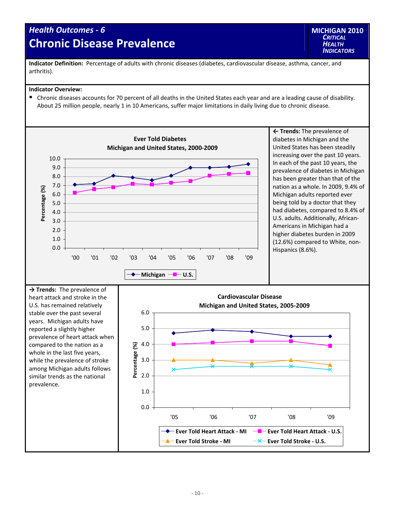## *Health Outcomes ‐ 6* **Chronic Disease Prevalence**

**Indicator Definition:** Percentage of adults with chronic diseases (diabetes, cardiovascular disease, asthma, cancer, and arthritis).

#### **Indicator Overview:**

Chronic diseases accounts for 70 percent of all deaths in the United States each year and are a leading cause of disability. About 25 million people, nearly 1 in 10 Americans, suffer major limitations in daily living due to chronic disease.

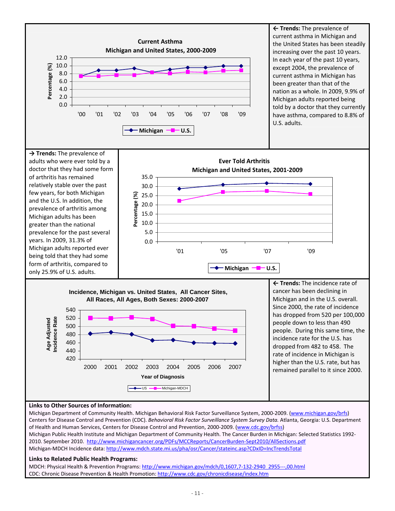

#### **Links to Other Sources of Information:**

Michigan Department of Community Health. Michigan Behavioral Risk Factor Surveillance System, 2000-2009. (www.michigan.gov/brfs) Centers for Disease Control and Prevention (CDC). *Behavioral Risk Factor Surveillance System Survey Data.* Atlanta, Georgia: U.S. Department of Health and Human Services, Centers for Disease Control and Prevention, 2000‐2009. (www.cdc.gov/brfss) Michigan Public Health Institute and Michigan Department of Community Health. The Cancer Burden in Michigan: Selected Statistics 1992‐ 2010. September 2010. http://www.michigancancer.org/PDFs/MCCReports/CancerBurden‐Sept2010/AllSections.pdf Michigan‐MDCH Incidence data: http://www.mdch.state.mi.us/pha/osr/Cancer/stateinc.asp?CDxID=IncTrendsTotal

#### **Links to Related Public Health Programs:**

MDCH: Physical Health & Prevention Programs: [http://www.michigan.gov/mdch/0,1607,7](http://www.michigan.gov/mdch/0,1607,7-132-2940_2955---,00.html)‐132‐2940\_2955‐‐‐,00.html CDC: Chronic Disease Prevention & Health Promotion: http://www.cdc.gov/chronicdisease/index.htm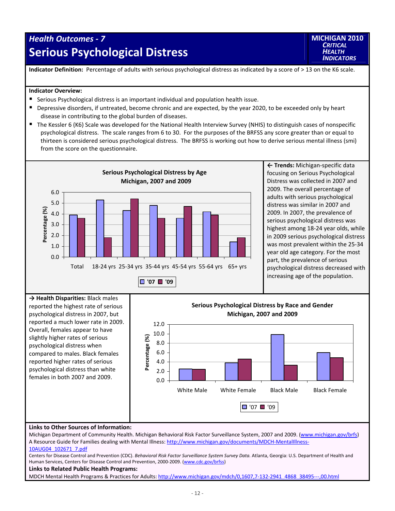## *Health Outcomes ‐ 7* **Serious Psychological Distress**

**MICHIGAN 2010** *CRITICAL HEALTH INDICATORS*

**Indicator Definition:** Percentage of adults with serious psychological distress as indicated by a score of > 13 on the K6 scale.

#### **Indicator Overview:**

- Serious Psychological distress is an important individual and population health issue.
- Depressive disorders, if untreated, become chronic and are expected, by the year 2020, to be exceeded only by heart disease in contributing to the global burden of diseases.
- The Kessler 6 (K6) Scale was developed for the National Health Interview Survey (NHIS) to distinguish cases of nonspecific psychological distress. The scale ranges from 6 to 30. For the purposes of the BRFSS any score greater than or equal to thirteen is considered serious psychological distress. The BRFSS is working out how to derive serious mental illness (smi) from the score on the questionnaire.



**← Trends:** Michigan‐specific data focusing on Serious Psychological Distress was collected in 2007 and 2009. The overall percentage of adults with serious psychological distress was similar in 2007 and 2009. In 2007, the prevalence of serious psychological distress was highest among 18‐24 year olds, while in 2009 serious psychological distress was most prevalent within the 25‐34 year old age category. For the most part, the prevalence of serious psychological distress decreased with increasing age of the population.



Michigan Department of Community Health. Michigan Behavioral Risk Factor Surveillance System, 2007 and 2009. (www.michigan.gov/brfs) A Resource Guide for Families dealing with Mental Illness: http://www.michigan.gov/documents/MDCH‐MentalIllness‐ 10AUG04\_102671\_7.pdf

Centers for Disease Control and Prevention (CDC). *Behavioral Risk Factor Surveillance System Survey Data.* Atlanta, Georgia: U.S. Department of Health and Human Services, Centers for Disease Control and Prevention, 2000-2009. (www.cdc.gov/brfss)

#### **Links to Related Public Health Programs:**

MDCH Mental Health Programs & Practices for Adults: http://www.michigan.gov/mdch/0,1607,7-132-2941\_4868\_38495---,00.html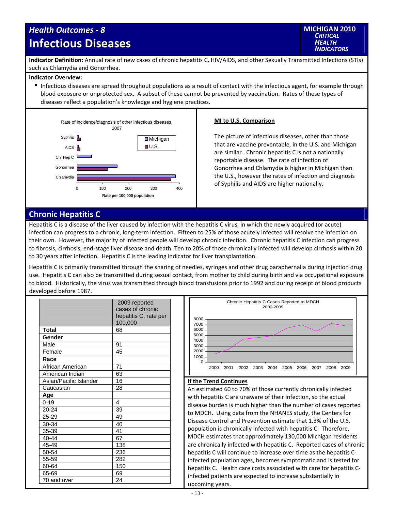## *Health Outcomes ‐ 8* **Infectious Diseases**



**Indicator Definition:** Annual rate of new cases of chronic hepatitis C, HIV/AIDS, and other Sexually Transmitted Infections (STIs) such as Chlamydia and Gonorrhea.

#### **Indicator Overview:**

Infectious diseases are spread throughout populations as a result of contact with the infectious agent, for example through blood exposure or unprotected sex. A subset of these cannot be prevented by vaccination. Rates of these types of diseases reflect a population's knowledge and hygiene practices.



#### **MI to U.S. Comparison**

The picture of infectious diseases, other than those that are vaccine preventable, in the U.S. and Michigan are similar. Chronic hepatitis C is not a nationally reportable disease. The rate of infection of Gonorrhea and Chlamydia is higher in Michigan than the U.S., however the rates of infection and diagnosis of Syphilis and AIDS are higher nationally.

### **Chronic Hepatitis C**

Hepatitis C is a disease of the liver caused by infection with the hepatitis C virus, in which the newly acquired (or acute) infection can progress to a chronic, long‐term infection. Fifteen to 25% of those acutely infected will resolve the infection on their own. However, the majority of infected people will develop chronic infection. Chronic hepatitis C infection can progress to fibrosis, cirrhosis, end‐stage liver disease and death. Ten to 20% of those chronically infected will develop cirrhosis within 20 to 30 years after infection. Hepatitis C is the leading indicator for liver transplantation.

Hepatitis C is primarily transmitted through the sharing of needles, syringes and other drug paraphernalia during injection drug use. Hepatitis C can also be transmitted during sexual contact, from mother to child during birth and via occupational exposure to blood. Historically, the virus was transmitted through blood transfusions prior to 1992 and during receipt of blood products developed before 1987.

|                        | 2009 reported         |
|------------------------|-----------------------|
|                        | cases of chronic      |
|                        | hepatitis C, rate per |
|                        | 100,000               |
| Total                  | 68                    |
| Gender                 |                       |
| Male                   | 91                    |
| Female                 | 45                    |
| Race                   |                       |
| African American       | 71                    |
| American Indian        | 63                    |
| Asian/Pacific Islander | 16                    |
| Caucasian              | 28                    |
| Age                    |                       |
| $0 - 19$               | 4                     |
| $20 - 24$              | 39                    |
| $25 - 29$              | 49                    |
| 30-34                  | 40                    |
| 35-39                  | 41                    |
| 40-44                  | 67                    |
| 45-49                  | 138                   |
| 50-54                  | 236                   |
| 55-59                  | 282                   |
| 60-64                  | 150                   |
| 65-69                  | 69                    |
| 70 and over            | 24                    |



#### **If the Trend Continues**

An estimated 60 to 70% of those currently chronically infected with hepatitis C are unaware of their infection, so the actual disease burden is much higher than the number of cases reported to MDCH. Using data from the NHANES study, the Centers for Disease Control and Prevention estimate that 1.3% of the U.S. population is chronically infected with hepatitis C. Therefore, MDCH estimates that approximately 130,000 Michigan residents are chronically infected with hepatitis C. Reported cases of chronic hepatitis C will continue to increase over time as the hepatitis C‐ infected population ages, becomes symptomatic and is tested for hepatitis C. Health care costs associated with care for hepatitis C‐ infected patients are expected to increase substantially in upcoming years.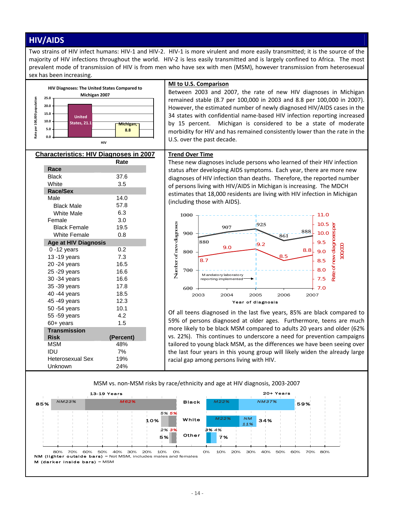### **HIV/AIDS**

Two strains of HIV infect humans: HIV‐1 and HIV‐2. HIV‐1 is more virulent and more easily transmitted; it is the source of the majority of HIV infections throughout the world. HIV‐2 is less easily transmitted and is largely confined to Africa. The most prevalent mode of transmission of HIV is from men who have sex with men (MSM), however transmission from heterosexual sex has been increasing.



**MI to U.S. Comparison** Between 2003 and 2007, the rate of new HIV diagnoses in Michigan remained stable (8.7 per 100,000 in 2003 and 8.8 per 100,000 in 2007). However, the estimated number of newly diagnosed HIV/AIDS cases in the 34 states with confidential name‐based HIV infection reporting increased by 15 percent. Michigan is considered to be a state of moderate morbidity for HIV and has remained consistently lower than the rate in the U.S. over the past decade.

### **Characteristics: HIV Diagnoses in 2007 Rate**

| Race                        |           |
|-----------------------------|-----------|
| <b>Black</b>                | 37.6      |
| White                       | 3.5       |
| Race/Sex                    |           |
| Male                        | 14.0      |
| <b>Black Male</b>           | 57.8      |
| <b>White Male</b>           | 6.3       |
| Female                      | 3.0       |
| <b>Black Female</b>         | 19.5      |
| White Female                | 0.8       |
| <b>Age at HIV Diagnosis</b> |           |
| $0 - 12$ years              | 0.2       |
| 13 - 19 years               | 7.3       |
| 20 - 24 years               | 16.5      |
| 25 - 29 years               | 16.6      |
| 30 - 34 years               | 16.6      |
| 35 - 39 years               | 17.8      |
| 40 - 44 years               | 18.5      |
| 45 - 49 years               | 12.3      |
| 50 -54 years                | 10.1      |
| 55 - 59 years               | 4.2       |
| $60+$ years                 | 1.5       |
| <b>Transmission</b>         |           |
| <b>Risk</b>                 | (Percent) |
| MSM                         | 48%       |
| IDU                         | 7%        |
| Heterosexual Sex            | 19%       |
| Unknown                     | 24%       |

### **Trend Over Time**

These new diagnoses include persons who learned of their HIV infection status after developing AIDS symptoms. Each year, there are more new diagnoses of HIV infection than deaths. Therefore, the reported number of persons living with HIV/AIDS in Michigan is increasing. The MDCH estimates that 18,000 residents are living with HIV infection in Michigan (including those with AIDS).



Of all teens diagnosed in the last five years, 85% are black compared to 59% of persons diagnosed at older ages. Furthermore, teens are much more likely to be black MSM compared to adults 20 years and older (62% vs. 22%). This continues to underscore a need for prevention campaigns tailored to young black MSM, as the differences we have been seeing over the last four years in this young group will likely widen the already large racial gap among persons living with HIV.

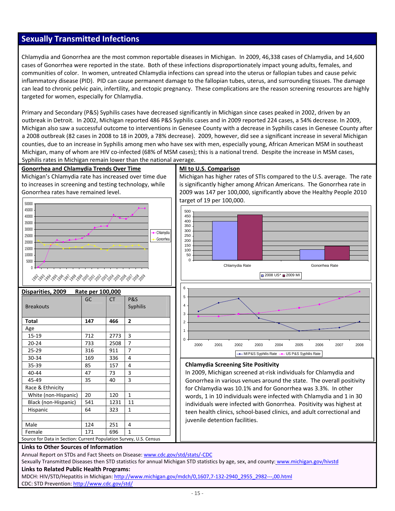### **Sexually Transmitted Infections**

Chlamydia and Gonorrhea are the most common reportable diseases in Michigan. In 2009, 46,338 cases of Chlamydia, and 14,600 cases of Gonorrhea were reported in the state. Both of these infections disproportionately impact young adults, females, and communities of color. In women, untreated Chlamydia infections can spread into the uterus or fallopian tubes and cause pelvic inflammatory disease (PID). PID can cause permanent damage to the fallopian tubes, uterus, and surrounding tissues. The damage can lead to chronic pelvic pain, infertility, and ectopic pregnancy. These complications are the reason screening resources are highly targeted for women, especially for Chlamydia.

Primary and Secondary (P&S) Syphilis cases have decreased significantly in Michigan since cases peaked in 2002, driven by an outbreak in Detroit. In 2002, Michigan reported 486 P&S Syphilis cases and in 2009 reported 224 cases, a 54% decrease. In 2009, Michigan also saw a successful outcome to interventions in Genesee County with a decrease in Syphilis cases in Genesee County after a 2008 outbreak (82 cases in 2008 to 18 in 2009, a 78% decrease). 2009, however, did see a significant increase in several Michigan counties, due to an increase in Syphilis among men who have sex with men, especially young, African American MSM in southeast Michigan, many of whom are HIV co-infected (68% of MSM cases); this is a national trend. Despite the increase in MSM cases, Syphilis rates in Michigan remain lower than the national average.

#### **Gonorrhea and Chlamydia Trends Over Time**

Michigan's Chlamydia rate has increased over time due to increases in screening and testing technology, while Gonorrhea rates have remained level.



| Disparities, 2009<br>Rate per 100,000                              |     |           |                                   |  |  |  |
|--------------------------------------------------------------------|-----|-----------|-----------------------------------|--|--|--|
| <b>Breakouts</b>                                                   | GC  | <b>CT</b> | <b>P&amp;S</b><br><b>Syphilis</b> |  |  |  |
| Total                                                              | 147 | 466       | $\overline{2}$                    |  |  |  |
| Age                                                                |     |           |                                   |  |  |  |
| 15-19                                                              | 712 | 2773      | 3                                 |  |  |  |
| $20 - 24$                                                          | 733 | 2508      | 7                                 |  |  |  |
| 25-29                                                              | 316 | 911       | 7                                 |  |  |  |
| 30-34                                                              | 169 | 336       | 4                                 |  |  |  |
| 35-39                                                              | 85  | 157       | 4                                 |  |  |  |
| 40-44                                                              | 47  | 73        | 3                                 |  |  |  |
| 45-49                                                              | 35  | 40        | 3                                 |  |  |  |
| Race & Ethnicity                                                   |     |           |                                   |  |  |  |
| White (non-Hispanic)                                               | 20  | 120       | $\mathbf{1}$                      |  |  |  |
| Black (non-Hispanic)                                               | 541 | 1231      | 11                                |  |  |  |
| Hispanic                                                           | 64  | 323       | 1                                 |  |  |  |
|                                                                    |     |           |                                   |  |  |  |
| Male                                                               | 124 | 251       | 4                                 |  |  |  |
| Female                                                             | 171 | 696       | $\mathbf{1}$                      |  |  |  |
| Source for Data in Section: Current Population Survey, U.S. Census |     |           |                                   |  |  |  |

#### **MI to U.S. Comparison**

Michigan has higher rates of STIs compared to the U.S. average. The rate is significantly higher among African Americans. The Gonorrhea rate in 2009 was 147 per 100,000, significantly above the Healthy People 2010 target of 19 per 100,000.



#### **Chlamydia Screening Site Positivity**

In 2009, Michigan screened at‐risk individuals for Chlamydia and Gonorrhea in various venues around the state. The overall positivity for Chlamydia was 10.1% and for Gonorrhea was 3.3%. In other words, 1 in 10 individuals were infected with Chlamydia and 1 in 30 individuals were infected with Gonorrhea. Positivity was highest at teen health clinics, school‐based clinics, and adult correctional and juvenile detention facilities.

#### **Links to Other Sources of Information**

Annual Report on STDs and Fact Sheets on Disease: www.cdc.gov/std/stats/-CDC

Sexually Transmitted Diseases then STD statistics for annual Michigan STD statistics by age, sex, and county: www.michigan.gov/hivstd **Links to Related Public Health Programs:**

MDCH: HIV/STD/Hepatitis in Michigan: http://www.michigan.gov/mdch/0,1607,7-132-2940\_2955\_2982---,00.html CDC: STD Prevention: http://www.cdc.gov/std/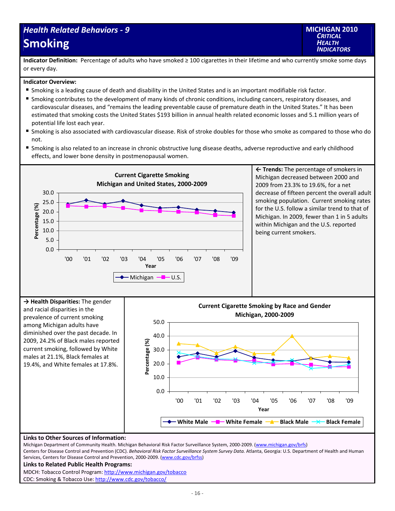## *Health Related Behaviors ‐ 9* **Smoking**



**Indicator Definition:** Percentage of adults who have smoked ≥ 100 cigarettes in their lifetime and who currently smoke some days or every day.

#### **Indicator Overview:**

- Smoking is a leading cause of death and disability in the United States and is an important modifiable risk factor.
- Smoking contributes to the development of many kinds of chronic conditions, including cancers, respiratory diseases, and cardiovascular diseases, and "remains the leading preventable cause of premature death in the United States." It has been estimated that smoking costs the United States \$193 billion in annual health related economic losses and 5.1 million years of potential life lost each year.
- Smoking is also associated with cardiovascular disease. Risk of stroke doubles for those who smoke as compared to those who do not.
- Smoking is also related to an increase in chronic obstructive lung disease deaths, adverse reproductive and early childhood effects, and lower bone density in postmenopausal women.





#### **Links to Other Sources of Information:**

Michigan Department of Community Health. Michigan Behavioral Risk Factor Surveillance System, 2000-2009. (www.michigan.gov/brfs) Centers for Disease Control and Prevention (CDC). *Behavioral Risk Factor Surveillance System Survey Data.* Atlanta, Georgia: U.S. Department of Health and Human Services, Centers for Disease Control and Prevention, 2000-2009. (www.cdc.gov/brfss) **Links to Related Public Health Programs:** MDCH: Tobacco Control Program: http://www.michigan.gov/tobacco CDC: Smoking & Tobacco Use: http://www.cdc.gov/tobacco/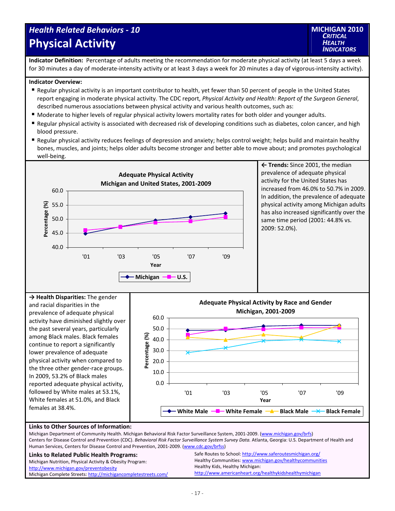## *Health Related Behaviors ‐ 10* **Physical Activity**



**Indicator Definition:** Percentage of adults meeting the recommendation for moderate physical activity (at least 5 days a week for 30 minutes a day of moderate-intensity activity or at least 3 days a week for 20 minutes a day of vigorous-intensity activity).

#### **Indicator Overview:**

- Regular physical activity is an important contributor to health, yet fewer than 50 percent of people in the United States report engaging in moderate physical activity. The CDC report, *Physical Activity and Health: Report of the Surgeon General*, described numerous associations between physical activity and various health outcomes, such as:
- Moderate to higher levels of regular physical activity lowers mortality rates for both older and younger adults.
- Regular physical activity is associated with decreased risk of developing conditions such as diabetes, colon cancer, and high blood pressure.
- Regular physical activity reduces feelings of depression and anxiety; helps control weight; helps build and maintain healthy bones, muscles, and joints; helps older adults become stronger and better able to move about; and promotes psychological well‐being.



**← Trends:** Since 2001, the median prevalence of adequate physical activity for the United States has increased from 46.0% to 50.7% in 2009. In addition, the prevalence of adequate physical activity among Michigan adults has also increased significantly over the same time period (2001: 44.8% vs. 2009: 52.0%).





http://www.americanheart.org/healthykidshealthymichigan

#### **Links to Other Sources of Information:**

Michigan Complete Streets: http://michigancompletestreets.com/

Michigan Department of Community Health. Michigan Behavioral Risk Factor Surveillance System, 2001-2009. (www.michigan.gov/brfs) Centers for Disease Control and Prevention (CDC). *Behavioral Risk Factor Surveillance System Survey Data.* Atlanta, Georgia: U.S. Department of Health and Human Services, Centers for Disease Control and Prevention, 2001‐2009. (www.cdc.gov/brfss) **Links to Related Public Health Programs:** Michigan Nutrition, Physical Activity & Obesity Program: http://www.michigan.gov/preventobesity Safe Routes to School: http://www.saferoutesmichigan.org/ Healthy Communities: www.michigan.gov/healthycommunities Healthy Kids, Healthy Michigan: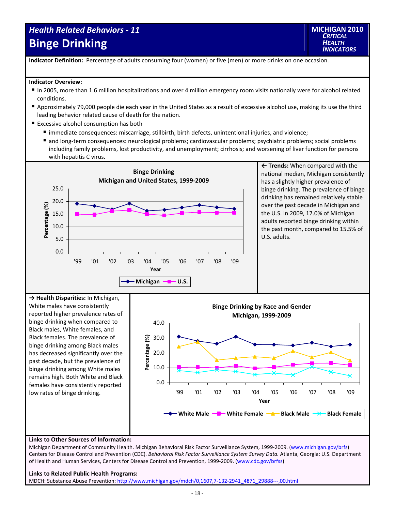## *Health Related Behaviors ‐ 11* **Binge Drinking**



**Indicator Definition:** Percentage of adults consuming four (women) or five (men) or more drinks on one occasion.

#### **Indicator Overview:**

- In 2005, more than 1.6 million hospitalizations and over 4 million emergency room visits nationally were for alcohol related conditions.
- Approximately 79,000 people die each year in the United States as a result of excessive alcohol use, making its use the third leading behavior related cause of death for the nation.
- Excessive alcohol consumption has both
	- immediate consequences: miscarriage, stillbirth, birth defects, unintentional injuries, and violence;
	- and long-term consequences: neurological problems; cardiovascular problems; psychiatric problems; social problems including family problems, lost productivity, and unemployment; cirrhosis; and worsening of liver function for persons with hepatitis C virus.



**← Trends:** When compared with the national median, Michigan consistently has a slightly higher prevalence of binge drinking. The prevalence of binge drinking has remained relatively stable over the past decade in Michigan and the U.S. In 2009, 17.0% of Michigan adults reported binge drinking within the past month, compared to 15.5% of U.S. adults.

**→ Health Disparities:** In Michigan, White males have consistently reported higher prevalence rates of binge drinking when compared to Black males, White females, and Black females. The prevalence of binge drinking among Black males has decreased significantly over the past decade, but the prevalence of binge drinking among White males remains high. Both White and Black females have consistently reported low rates of binge drinking.



#### **Links to Other Sources of Information:**

Michigan Department of Community Health. Michigan Behavioral Risk Factor Surveillance System, 1999-2009. (www.michigan.gov/brfs) Centers for Disease Control and Prevention (CDC). *Behavioral Risk Factor Surveillance System Survey Data.* Atlanta, Georgia: U.S. Department of Health and Human Services, Centers for Disease Control and Prevention, 1999-2009. (www.cdc.gov/brfss)

#### **Links to Related Public Health Programs:**

MDCH: Substance Abuse Prevention: http://www.michigan.gov/mdch/0,1607,7‐132‐2941\_4871\_29888‐‐‐,00.html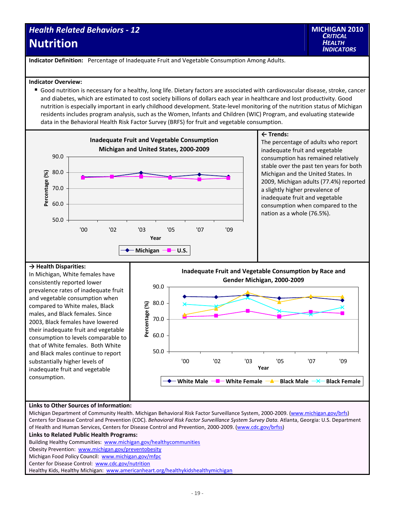### *Health Related Behaviors ‐ 12* **Nutrition**

**Indicator Definition:** Percentage of Inadequate Fruit and Vegetable Consumption Among Adults.

#### **Indicator Overview:**

 Good nutrition is necessary for a healthy, long life. Dietary factors are associated with cardiovascular disease, stroke, cancer and diabetes, which are estimated to cost society billions of dollars each year in healthcare and lost productivity. Good nutrition is especially important in early childhood development. State‐level monitoring of the nutrition status of Michigan residents includes program analysis, such as the Women, Infants and Children (WIC) Program, and evaluating statewide data in the Behavioral Health Risk Factor Survey (BRFS) for fruit and vegetable consumption.



### **→ Health Disparities:**

In Michigan, White females have consistently reported lower prevalence rates of inadequate fruit and vegetable consumption when compared to White males, Black males, and Black females. Since 2003, Black females have lowered their inadequate fruit and vegetable consumption to levels comparable to that of White females. Both White and Black males continue to report substantially higher levels of inadequate fruit and vegetable consumption.



#### **Links to Other Sources of Information:**

Michigan Department of Community Health. Michigan Behavioral Risk Factor Surveillance System, 2000-2009. (www.michigan.gov/brfs) Centers for Disease Control and Prevention (CDC). *Behavioral Risk Factor Surveillance System Survey Data.* Atlanta, Georgia: U.S. Department of Health and Human Services, Centers for Disease Control and Prevention, 2000‐2009. (www.cdc.gov/brfss)

**Links to Related Public Health Programs:**

Building Healthy Communities: www.michigan.gov/healthycommunities

Obesity Prevention: www.michigan.gov/preventobesity

Michigan Food Policy Council: www.michigan.gov/mfpc

Center for Disease Control: www.cdc.gov/nutrition

Healthy Kids, Healthy Michigan: www.americanheart.org/healthykidshealthymichigan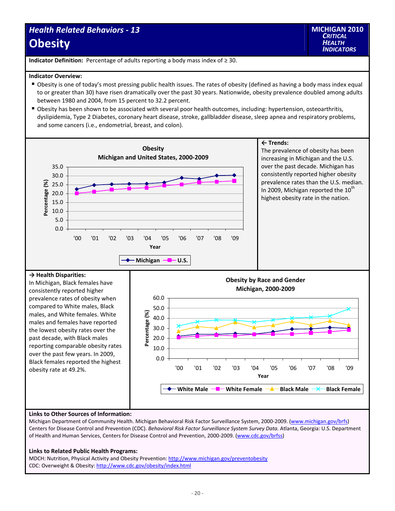## *Health Related Behaviors ‐ 13* **Obesity**

**Indicator Definition:** Percentage of adults reporting a body mass index of ≥ 30.

#### **Indicator Overview:**

- Obesity is one of today's most pressing public health issues. The rates of obesity (defined as having a body mass index equal to or greater than 30) have risen dramatically over the past 30 years. Nationwide, obesity prevalence doubled among adults between 1980 and 2004, from 15 percent to 32.2 percent.
- Obesity has been shown to be associated with several poor health outcomes, including: hypertension, osteoarthritis, dyslipidemia, Type 2 Diabetes, coronary heart disease, stroke, gallbladder disease, sleep apnea and respiratory problems, and some cancers (i.e., endometrial, breast, and colon).



#### **Links to Other Sources of Information:**

Michigan Department of Community Health. Michigan Behavioral Risk Factor Surveillance System, 2000-2009. (www.michigan.gov/brfs) Centers for Disease Control and Prevention (CDC). *Behavioral Risk Factor Surveillance System Survey Data.* Atlanta, Georgia: U.S. Department of Health and Human Services, Centers for Disease Control and Prevention, 2000-2009. (www.cdc.gov/brfss)

#### **Links to Related Public Health Programs:**

MDCH: Nutrition, Physical Activity and Obesity Prevention: http://www.michigan.gov/preventobesity CDC: Overweight & Obesity: http://www.cdc.gov/obesity/index.html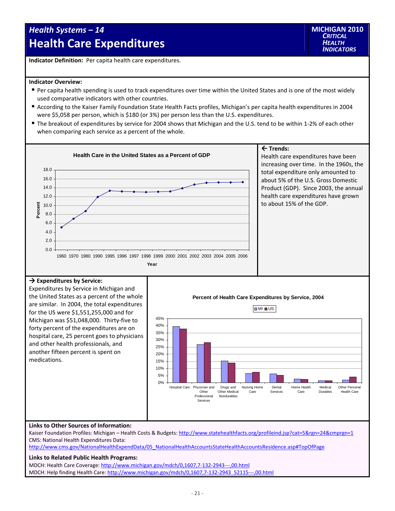## *Health Systems – 14*  **Health Care Expenditures**

**Indicator Definition:** Per capita health care expenditures.

#### **Indicator Overview:**

- Per capita health spending is used to track expenditures over time within the United States and is one of the most widely used comparative indicators with other countries.
- According to the Kaiser Family Foundation State Health Facts profiles, Michigan's per capita health expenditures in 2004 were \$5,058 per person, which is \$180 (or 3%) per person less than the U.S. expenditures.
- The breakout of expenditures by service for 2004 shows that Michigan and the U.S. tend to be within 1-2% of each other when comparing each service as a percent of the whole.

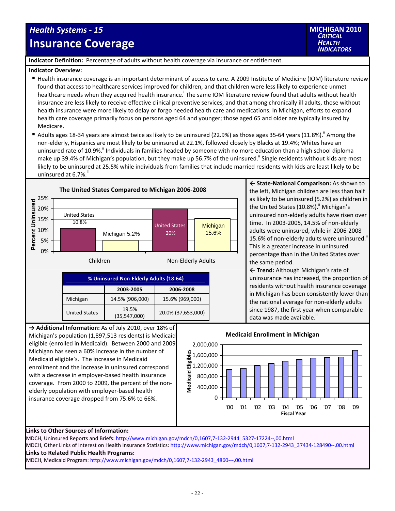## *Health Systems ‐ 15* **Insurance Coverage**

**Indicator Definition:** Percentage of adults without health coverage via insurance or entitlement.

#### **Indicator Overview:**

- Health insurance coverage is an important determinant of access to care. A 2009 Institute of Medicine (IOM) literature review found that access to healthcare services improved for children, and that children were less likely to experience unmet healthcare needs when they acquired health insurance.<sup>i</sup> The same IOM literature review found that adults without health insurance are less likely to receive effective clinical preventive services, and that among chronically ill adults, those without health insurance were more likely to delay or forgo needed health care and medications. In Michigan, efforts to expand health care coverage primarily focus on persons aged 64 and younger; those aged 65 and older are typically insured by Medicare.
- Adults ages 18-34 years are almost twice as likely to be uninsured (22.9%) as those ages 35-64 years (11.8%).<sup>ii</sup> Among the non‐elderly, Hispanics are most likely to be uninsured at 22.1%, followed closely by Blacks at 19.4%; Whites have an uninsured rate of 10.9%.<sup>ii</sup> Individuals in families headed by someone with no more education than a high school diploma make up 39.4% of Michigan's population, but they make up 56.7% of the uninsured." Single residents without kids are most likely to be uninsured at 25.5% while individuals from families that include married residents with kids are least likely to be uninsured at 6.7%.



**← State‐National Comparison:** As shown to the left, Michigan children are less than half as likely to be uninsured (5.2%) as children in the United States  $(10.8\%)$ .<sup>"</sup> Michigan's uninsured non‐elderly adults have risen over time. In 2003‐2005, 14.5% of non‐elderly adults were uninsured, while in 2006‐2008 15.6% of non-elderly adults were uninsured.<sup>ii</sup> This is a greater increase in uninsured percentage than in the United States over the same period.

**← Trend:** Although Michigan's rate of uninsurance has increased, the proportion of residents without health insurance coverage in Michigan has been consistently lower than the national average for non‐elderly adults since 1987, the first year when comparable data was made available."

Michigan's population (1,897,513 residents) is Medicaid eligible (enrolled in Medicaid). Between 2000 and 2009 Michigan has seen a 60% increase in the number of Medicaid eligible's. The increase in Medicaid enrollment and the increase in uninsured correspond with a decrease in employer‐based health insurance coverage. From 2000 to 2009, the percent of the non‐ elderly population with employer‐based health insurance coverage dropped from 75.6% to 66%.



#### **Links to Other Sources of Information:**

MDCH, Uninsured Reports and Briefs: http://www.michigan.gov/mdch/0,1607,7-132-2944\_5327-17224--,00.html MDCH, Other Links of Interest on Health Insurance Statistics: http://www.michigan.gov/mdch/0,1607,7-132-2943\_37434-128490--,00.html **Links to Related Public Health Programs:** MDCH, Medicaid Program: http://www.michigan.gov/mdch/0,1607,7‐132‐2943\_4860‐‐‐,00.html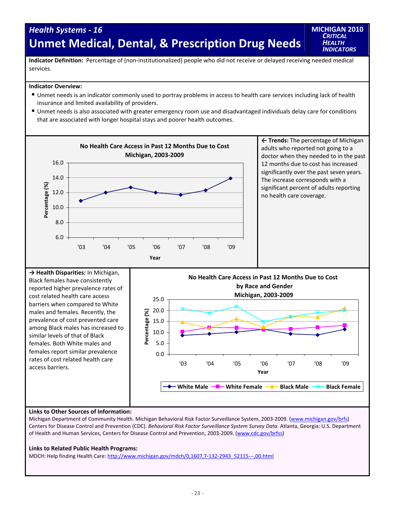## *Health Systems ‐ 16* **Unmet Medical, Dental, & Prescription Drug Needs**

**MICHIGAN 2010** *CRITICAL HEALTH INDICATORS*

**Indicator Definition:** Percentage of (non‐institutionalized) people who did not receive or delayed receiving needed medical services.

#### **Indicator Overview:**

- Unmet needs is an indicator commonly used to portray problems in access to health care services including lack of health insurance and limited availability of providers.
- Unmet needs is also associated with greater emergency room use and disadvantaged individuals delay care for conditions that are associated with longer hospital stays and poorer health outcomes.



males and females. Recently, the prevalence of cost prevented care among Black males has increased to similar levels of that of Black females. Both White males and females report similar prevalence rates of cost related health care access barriers.



#### **Links to Other Sources of Information:**

Michigan Department of Community Health. Michigan Behavioral Risk Factor Surveillance System, 2003‐2009. (www.michigan.gov/brfs) Centers for Disease Control and Prevention (CDC). *Behavioral Risk Factor Surveillance System Survey Data.* Atlanta, Georgia: U.S. Department of Health and Human Services, Centers for Disease Control and Prevention, 2003-2009. (www.cdc.gov/brfss)

#### **Links to Related Public Health Programs:**

MDCH: Help finding Health Care: http://www.michigan.gov/mdch/0,1607,7-132-2943\_52115---,00.html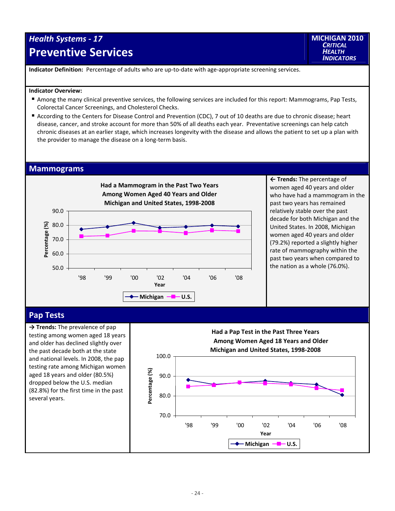## *Health Systems ‐ 17* **Preventive Services**

**MICHIGAN 2010** *CRITICAL HEALTH INDICATORS*

**Indicator Definition:** Percentage of adults who are up‐to‐date with age‐appropriate screening services.

#### **Indicator Overview:**

- Among the many clinical preventive services, the following services are included for this report: Mammograms, Pap Tests, Colorectal Cancer Screenings, and Cholesterol Checks.
- According to the Centers for Disease Control and Prevention (CDC), 7 out of 10 deaths are due to chronic disease; heart disease, cancer, and stroke account for more than 50% of all deaths each year. Preventative screenings can help catch chronic diseases at an earlier stage, which increases longevity with the disease and allows the patient to set up a plan with the provider to manage the disease on a long‐term basis.

#### **Mammograms**



**← Trends:** The percentage of women aged 40 years and older who have had a mammogram in the past two years has remained relatively stable over the past decade for both Michigan and the United States. In 2008, Michigan women aged 40 years and older (79.2%) reported a slightly higher rate of mammography within the past two years when compared to the nation as a whole (76.0%).

### **Pap Tests**

**→ Trends:** The prevalence of pap testing among women aged 18 years and older has declined slightly over the past decade both at the state and national levels. In 2008, the pap testing rate among Michigan women aged 18 years and older (80.5%) dropped below the U.S. median (82.8%) for the first time in the past several years.

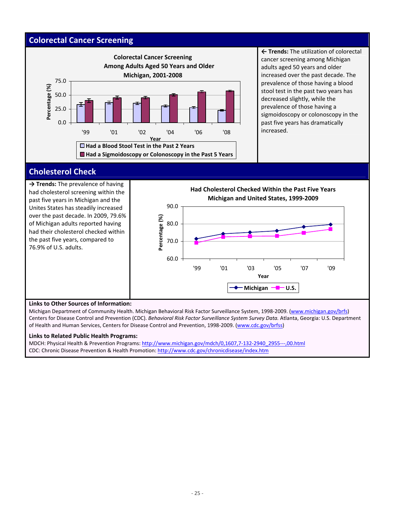### **Colorectal Cancer Screening**



**← Trends:** The utilization of colorectal cancer screening among Michigan adults aged 50 years and older increased over the past decade. The prevalence of those having a blood stool test in the past two years has decreased slightly, while the prevalence of those having a sigmoidoscopy or colonoscopy in the past five years has dramatically increased.

### **Cholesterol Check**

**→ Trends:** The prevalence of having had cholesterol screening within the past five years in Michigan and the Unites States has steadily increased over the past decade. In 2009, 79.6% of Michigan adults reported having had their cholesterol checked within the past five years, compared to 76.9% of U.S. adults.



#### **Links to Other Sources of Information:**

Michigan Department of Community Health. Michigan Behavioral Risk Factor Surveillance System, 1998-2009. (www.michigan.gov/brfs) Centers for Disease Control and Prevention (CDC). *Behavioral Risk Factor Surveillance System Survey Data.* Atlanta, Georgia: U.S. Department of Health and Human Services, Centers for Disease Control and Prevention, 1998‐2009. (www.cdc.gov/brfss)

#### **Links to Related Public Health Programs:**

MDCH: Physical Health & Prevention Programs: http://www.michigan.gov/mdch/0,1607,7-132-2940\_2955---,00.html CDC: Chronic Disease Prevention & Health Promotion: http://www.cdc.gov/chronicdisease/index.htm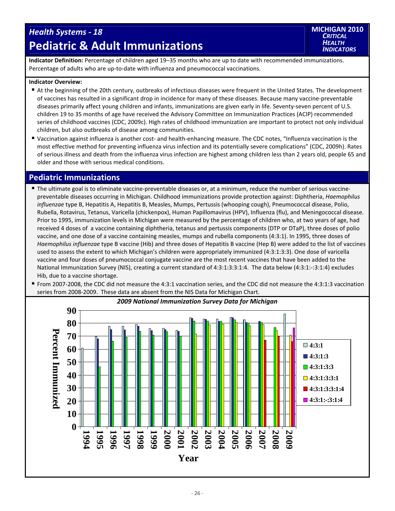## *Health Systems ‐ 18* **Pediatric & Adult Immunizations**



**Indicator Definition:** Percentage of children aged 19–35 months who are up to date with recommended immunizations. Percentage of adults who are up‐to‐date with influenza and pneumococcal vaccinations.

#### **Indicator Overview:**

- At the beginning of the 20th century, outbreaks of infectious diseases were frequent in the United States. The development of vaccines has resulted in a significant drop in incidence for many of these diseases. Because many vaccine‐preventable diseases primarily affect young children and infants, immunizations are given early in life. Seventy-seven percent of U.S. children 19 to 35 months of age have received the Advisory Committee on Immunization Practices (ACIP) recommended series of childhood vaccines (CDC, 2009c). High rates of childhood immunization are important to protect not only individual children, but also outbreaks of disease among communities.
- Vaccination against influenza is another cost- and health-enhancing measure. The CDC notes, "Influenza vaccination is the most effective method for preventing influenza virus infection and its potentially severe complications" (CDC, 2009h). Rates of serious illness and death from the influenza virus infection are highest among children less than 2 years old, people 65 and older and those with serious medical conditions.

### **Pediatric Immunizations**

- The ultimate goal is to eliminate vaccine-preventable diseases or, at a minimum, reduce the number of serious vaccinepreventable diseases occurring in Michigan. Childhood immunizations provide protection against: Diphtheria, *Haemophilus influenzae* type B, Hepatitis A, Hepatitis B, Measles, Mumps, Pertussis (whooping cough), Pneumococcal disease, Polio, Rubella, Rotavirus, Tetanus, Varicella (chickenpox), Human Papillomavirus (HPV), Influenza (flu), and Meningococcal disease. Prior to 1995, immunization levels in Michigan were measured by the percentage of children who, at two years of age, had received 4 doses of a vaccine containing diphtheria, tetanus and pertussis components (DTP or DTaP), three doses of polio vaccine, and one dose of a vaccine containing measles, mumps and rubella components (4:3:1). In 1995, three doses of *Haemophilus influenzae* type B vaccine (Hib) and three doses of Hepatitis B vaccine (Hep B) were added to the list of vaccines used to assess the extent to which Michigan's children were appropriately immunized (4:3:1:3:3). One dose of varicella vaccine and four doses of pneumococcal conjugate vaccine are the most recent vaccines that have been added to the National Immunization Survey (NIS), creating a current standard of 4:3:1:3:3:1:4. The data below (4:3:1:‐:3:1:4) excludes Hib, due to a vaccine shortage.
- From 2007‐2008, the CDC did not measure the 4:3:1 vaccination series, and the CDC did not measure the 4:3:1:3 vaccination series from 2008‐2009. These data are absent from the NIS Data for Michigan Chart.

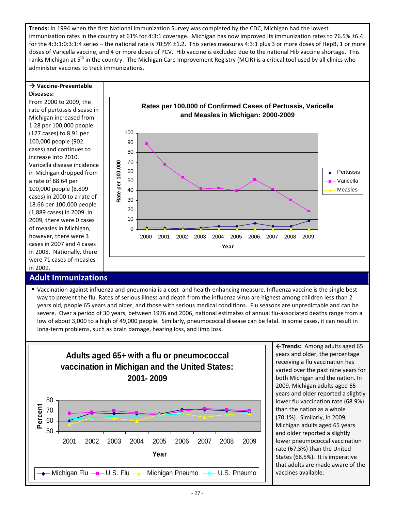**Trends:** In 1994 when the first National Immunization Survey was completed by the CDC, Michigan had the lowest immunization rates in the country at 61% for 4:3:1 coverage. Michigan has now improved its immunization rates to 76.5% ±6.4 for the 4:3:1:0:3:1:4 series – the national rate is 70.5% ±1.2. This series measures 4:3:1 plus 3 or more doses of HepB, 1 or more doses of Varicella vaccine, and 4 or more doses of PCV. Hib vaccine is excluded due to the national Hib vaccine shortage. This ranks Michigan at 5<sup>th</sup> in the country. The Michigan Care Improvement Registry (MCIR) is a critical tool used by all clinics who administer vaccines to track immunizations.

#### **Vaccine‐Preventable Diseases:**

From 2000 to 2009, the rate of pertussis disease in Michigan increased from 1.28 per 100,000 people (127 cases) to 8.91 per 100,000 people (902 cases) and continues to increase into 2010. Varicella disease incidence in Michigan dropped from a rate of 88.64 per 100,000 people (8,809 cases) in 2000 to a rate of 18.66 per 100,000 people (1,889 cases) in 2009. In 2009, there were 0 cases of measles in Michigan, however, there were 3 cases in 2007 and 4 cases in 2008. Nationally, there were 71 cases of measles in 2009.

### **Adult Immunizations**



■ Vaccination against influenza and pneumonia is a cost- and health-enhancing measure. Influenza vaccine is the single best way to prevent the flu. Rates of serious illness and death from the influenza virus are highest among children less than 2 years old, people 65 years and older, and those with serious medical conditions. Flu seasons are unpredictable and can be severe. Over a period of 30 years, between 1976 and 2006, national estimates of annual flu‐associated deaths range from a low of about 3,000 to a high of 49,000 people. Similarly, pneumococcal disease can be fatal. In some cases, it can result in long-term problems, such as brain damage, hearing loss, and limb loss.



**←Trends:** Among adults aged 65 years and older, the percentage receiving a flu vaccination has varied over the past nine years for both Michigan and the nation. In 2009, Michigan adults aged 65 years and older reported a slightly lower flu vaccination rate (68.9%) than the nation as a whole (70.1%). Similarly, in 2009, Michigan adults aged 65 years and older reported a slightly lower pneumococcal vaccination rate (67.5%) than the United States (68.5%). It is imperative that adults are made aware of the vaccines available.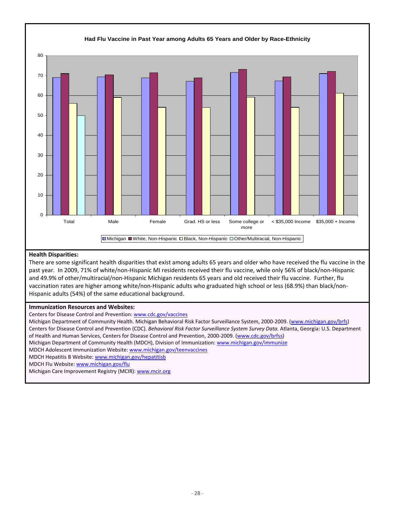

#### **Health Disparities:**

There are some significant health disparities that exist among adults 65 years and older who have received the flu vaccine in the past year. In 2009, 71% of white/non‐Hispanic MI residents received their flu vaccine, while only 56% of black/non‐Hispanic and 49.9% of other/multiracial/non‐Hispanic Michigan residents 65 years and old received their flu vaccine. Further, flu vaccination rates are higher among white/non‐Hispanic adults who graduated high school or less (68.9%) than black/non‐ Hispanic adults (54%) of the same educational background.

#### **Immunization Resources and Websites:**

Centers for Disease Control and Prevention: www.cdc.gov/vaccines

Michigan Department of Community Health. Michigan Behavioral Risk Factor Surveillance System, 2000-2009. (www.michigan.gov/brfs) Centers for Disease Control and Prevention (CDC). *Behavioral Risk Factor Surveillance System Survey Data.* Atlanta, Georgia: U.S. Department of Health and Human Services, Centers for Disease Control and Prevention, 2000-2009. (www.cdc.gov/brfss)

Michigan Department of Community Health (MDCH), Division of Immunization: www.michigan.gov/immunize

MDCH Adolescent Immunization Website: www.michigan.gov/teenvaccines

MDCH Hepatitis B Website: www.michigan.gov/hepatitisb

MDCH Flu Website: www.michigan.gov/flu

Michigan Care Improvement Registry (MCIR): www.mcir.org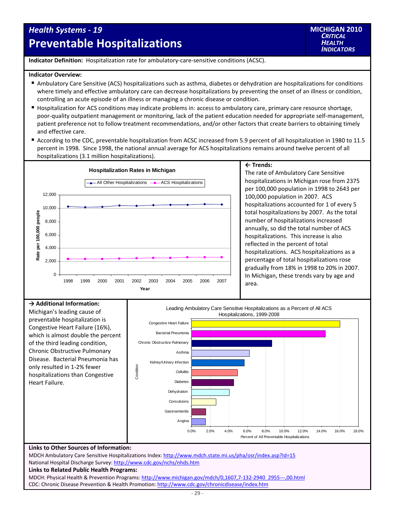## *Health Systems ‐ 19* **Preventable Hospitalizations**

**Indicator Definition:** Hospitalization rate for ambulatory‐care‐sensitive conditions (ACSC).

#### **Indicator Overview:**

- Ambulatory Care Sensitive (ACS) hospitalizations such as asthma, diabetes or dehydration are hospitalizations for conditions where timely and effective ambulatory care can decrease hospitalizations by preventing the onset of an illness or condition, controlling an acute episode of an illness or managing a chronic disease or condition.
- Hospitalization for ACS conditions may indicate problems in: access to ambulatory care, primary care resource shortage, poor-quality outpatient management or monitoring, lack of the patient education needed for appropriate self-management, patient preference not to follow treatment recommendations, and/or other factors that create barriers to obtaining timely and effective care.
- According to the CDC, preventable hospitalization from ACSC increased from 5.9 percent of all hospitalization in 1980 to 11.5 percent in 1998. Since 1998, the national annual average for ACS hospitalizations remains around twelve percent of all hospitalizations (3.1 million hospitalizations).



#### **← Trends:**

The rate of Ambulatory Care Sensitive hospitalizations in Michigan rose from 2375 per 100,000 population in 1998 to 2643 per 100,000 population in 2007. ACS hospitalizations accounted for 1 of every 5 total hospitalizations by 2007. As the total number of hospitalizations increased annually, so did the total number of ACS hospitalizations. This increase is also reflected in the percent of total hospitalizations. ACS hospitalizations as a percentage of total hospitalizations rose gradually from 18% in 1998 to 20% in 2007. In Michigan, these trends vary by age and area.

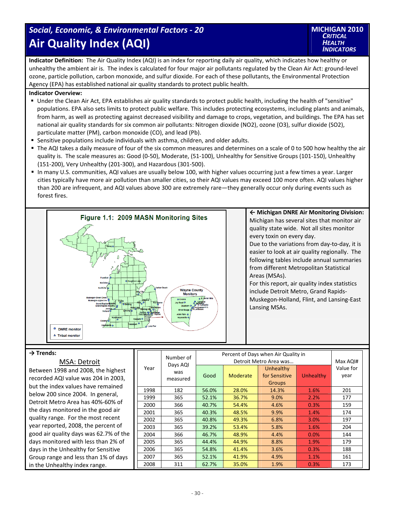## *Social, Economic, & Environmental Factors ‐ 20* **Air Quality Index (AQI)**

**Indicator Definition:** The Air Quality Index (AQI) is an index for reporting daily air quality, which indicates how healthy or unhealthy the ambient air is. The index is calculated for four major air pollutants regulated by the Clean Air Act: ground‐level ozone, particle pollution, carbon monoxide, and sulfur dioxide. For each of these pollutants, the Environmental Protection Agency (EPA) has established national air quality standards to protect public health.

#### **Indicator Overview:**

- Under the Clean Air Act, EPA establishes air quality standards to protect public health, including the health of "sensitive" populations. EPA also sets limits to protect public welfare. This includes protecting ecosystems, including plants and animals, from harm, as well as protecting against decreased visibility and damage to crops, vegetation, and buildings. The EPA has set national air quality standards for six common air pollutants: Nitrogen dioxide (NO2), ozone (O3), sulfur dioxide (SO2), particulate matter (PM), carbon monoxide (CO), and lead (Pb).
- **Sensitive populations include individuals with asthma, children, and older adults.**
- The AQI takes a daily measure of four of the six common measures and determines on a scale of 0 to 500 how healthy the air quality is. The scale measures as: Good (0‐50), Moderate, (51‐100), Unhealthy for Sensitive Groups (101‐150), Unhealthy (151‐200), Very Unhealthy (201‐300), and Hazardous (301‐500).
- In many U.S. communities, AQI values are usually below 100, with higher values occurring just a few times a year. Larger cities typically have more air pollution than smaller cities, so their AQI values may exceed 100 more often. AQI values higher than 200 are infrequent, and AQI values above 300 are extremely rare—they generally occur only during events such as forest fires.



**← Michigan DNRE Air Monitoring Division:** Michigan has several sites that monitor air quality state wide. Not all sites monitor every toxin on every day.

Due to the variations from day‐to‐day, it is easier to look at air quality regionally. The following tables include annual summaries from different Metropolitan Statistical Areas (MSAs).

For this report, air quality index statistics include Detroit Metro, Grand Rapids‐ Muskegon‐Holland, Flint, and Lansing‐East Lansing MSAs.

#### **→ Trends:**

#### MSA: Detroit

Between 1998 and 2008, the highest recorded AQI value was 204 in 2003, but the index values have remained below 200 since 2004. In general, Detroit Metro Area has 40%‐60% of the days monitored in the good air quality range. For the most recent year reported, 2008, the percent of good air quality days was 62.7% of the days monitored with less than 2% of days in the Unhealthy for Sensitive Group range and less than 1% of days in the Unhealthy index range.

|      | Number of                   | Percent of Days when Air Quality in | Max AQI# |                                             |           |                   |
|------|-----------------------------|-------------------------------------|----------|---------------------------------------------|-----------|-------------------|
| Year | Days AQI<br>was<br>measured | Good                                | Moderate | Unhealthy<br>for Sensitive<br><b>Groups</b> | Unhealthy | Value for<br>year |
| 1998 | 182                         | 56.0%                               | 28.0%    | 14.3%                                       | 1.6%      | 201               |
| 1999 | 365                         | 52.1%                               | 36.7%    | 9.0%                                        | 2.2%      | 177               |
| 2000 | 366                         | 40.7%                               | 54.4%    | 4.6%                                        | 0.3%      | 159               |
| 2001 | 365                         | 40.3%                               | 48.5%    | 9.9%                                        | 1.4%      | 174               |
| 2002 | 365                         | 40.8%                               | 49.3%    | 6.8%                                        | 3.0%      | 197               |
| 2003 | 365                         | 39.2%                               | 53.4%    | 5.8%                                        | 1.6%      | 204               |
| 2004 | 366                         | 46.7%                               | 48.9%    | 4.4%                                        | 0.0%      | 144               |
| 2005 | 365                         | 44.4%                               | 44.9%    | 8.8%                                        | 1.9%      | 179               |
| 2006 | 365                         | 54.8%                               | 41.4%    | 3.6%                                        | 0.3%      | 188               |
| 2007 | 365                         | 52.1%                               | 41.9%    | 4.9%                                        | 1.1%      | 161               |
| 2008 | 311                         | 62.7%                               | 35.0%    | 1.9%                                        | 0.3%      | 173               |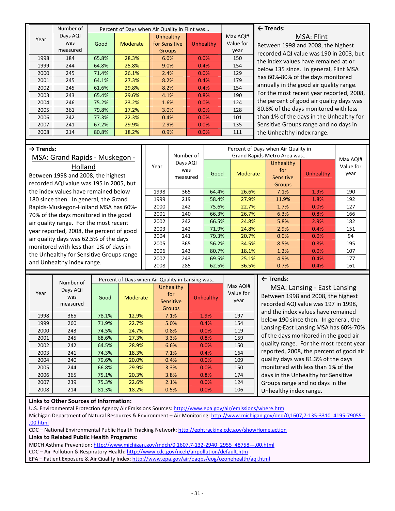|      | Number of |       | Percent of Days when Air Quality in Flint was |               |           |           |  |
|------|-----------|-------|-----------------------------------------------|---------------|-----------|-----------|--|
| Year | Days AQI  |       |                                               | Unhealthy     |           | Max AQI#  |  |
|      | was       | Good  | Moderate                                      | for Sensitive | Unhealthy | Value for |  |
|      | measured  |       |                                               | <b>Groups</b> |           | year      |  |
| 1998 | 184       | 65.8% | 28.3%                                         | 6.0%          | 0.0%      | 150       |  |
| 1999 | 244       | 64.8% | 25.8%                                         | 9.0%          | 0.4%      | 154       |  |
| 2000 | 245       | 71.4% | 26.1%                                         | 2.4%          | 0.0%      | 129       |  |
| 2001 | 245       | 64.1% | 27.3%                                         | 8.2%          | 0.4%      | 179       |  |
| 2002 | 245       | 61.6% | 29.8%                                         | 8.2%          | 0.4%      | 154       |  |
| 2003 | 243       | 65.4% | 29.6%                                         | 4.1%          | 0.8%      | 190       |  |
| 2004 | 246       | 75.2% | 23.2%                                         | 1.6%          | 0.0%      | 124       |  |
| 2005 | 361       | 79.8% | 17.2%                                         | 3.0%          | 0.0%      | 128       |  |
| 2006 | 242       | 77.3% | 22.3%                                         | 0.4%          | 0.0%      | 101       |  |
| 2007 | 241       | 67.2% | 29.9%                                         | 2.9%          | 0.0%      | 135       |  |
| 2008 | 214       | 80.8% | 18.2%                                         | 0.9%          | 0.0%      | 111       |  |

#### **← Trends:**

MSA: Flint

Between 1998 and 2008, the highest recorded AQI value was 190 in 2003, but the index values have remained at or below 135 since. In general, Flint MSA has 60%‐80% of the days monitored annually in the good air quality range. For the most recent year reported, 2008, the percent of good air quality days was 80.8% of the days monitored with less than 1% of the days in the Unhealthy for Sensitive Groups range and no days in the Unhealthy index range.

#### **→ Trends:**

### MSA: Grand Rapids ‐ Muskegon ‐ Holland Between 1998 and 2008, the highest

recorded AQI value was 195 in 2005, but the index values have remained below 180 since then. In general, the Grand Rapids‐Muskegon‐Holland MSA has 60%‐ 70% of the days monitored in the good air quality range. For the most recent year reported, 2008, the percent of good air quality days was 62.5% of the days monitored with less than 1% of days in the Unhealthy for Sensitive Groups range and Unhealthy index range.

|      | Number of                   | Percent of Days when Air Quality in |                 |                                                                               |           |                               |
|------|-----------------------------|-------------------------------------|-----------------|-------------------------------------------------------------------------------|-----------|-------------------------------|
| Year | Days AQI<br>was<br>measured | Good                                | <b>Moderate</b> | Grand Rapids Metro Area was<br>Unhealthy<br>for<br>Sensitive<br><b>Groups</b> | Unhealthy | Max AQI#<br>Value for<br>year |
| 1998 | 365                         | 64.4%                               | 26.6%           | 7.1%                                                                          | 1.9%      | 190                           |
| 1999 | 219                         | 58.4%                               | 27.9%           | 11.9%                                                                         | 1.8%      | 192                           |
| 2000 | 242                         | 75.6%                               | 22.7%           | 1.7%                                                                          | 0.0%      | 127                           |
| 2001 | 240                         | 66.3%                               | 26.7%           | 6.3%                                                                          | 0.8%      | 166                           |
| 2002 | 242                         | 66.5%                               | 24.8%           | 5.8%                                                                          | 2.9%      | 182                           |
| 2003 | 242                         | 71.9%                               | 24.8%           | 2.9%                                                                          | 0.4%      | 151                           |
| 2004 | 241                         | 79.3%                               | 20.7%           | 0.0%                                                                          | 0.0%      | 94                            |
| 2005 | 365                         | 56.2%                               | 34.5%           | 8.5%                                                                          | 0.8%      | 195                           |
| 2006 | 243                         | 80.7%                               | 18.1%           | 1.2%                                                                          | 0.0%      | 107                           |
| 2007 | 243                         | 69.5%                               | 25.1%           | 4.9%                                                                          | 0.4%      | 177                           |
| 2008 | 285                         | 62.5%                               | 36.5%           | 0.7%                                                                          | 0.4%      | 161                           |

|      | Number of                   | Percent of Days when Air Quality in Lansing was |          |                                                       |           |                               |
|------|-----------------------------|-------------------------------------------------|----------|-------------------------------------------------------|-----------|-------------------------------|
| Year | Days AQI<br>was<br>measured | Good                                            | Moderate | Unhealthy<br>for<br><b>Sensitive</b><br><b>Groups</b> | Unhealthy | Max AQI#<br>Value for<br>year |
| 1998 | 365                         | 78.1%                                           | 12.9%    | 7.1%                                                  | 1.9%      | 197                           |
| 1999 | 260                         | 71.9%                                           | 22.7%    | 5.0%                                                  | 0.4%      | 154                           |
| 2000 | 243                         | 74.5%                                           | 24.7%    | 0.8%                                                  | 0.0%      | 119                           |
| 2001 | 245                         | 68.6%                                           | 27.3%    | 3.3%                                                  | 0.8%      | 159                           |
| 2002 | 242                         | 64.5%                                           | 28.9%    | 6.6%                                                  | 0.0%      | 150                           |
| 2003 | 241                         | 74.3%                                           | 18.3%    | 7.1%                                                  | 0.4%      | 164                           |
| 2004 | 240                         | 79.6%                                           | 20.0%    | 0.4%                                                  | 0.0%      | 109                           |
| 2005 | 244                         | 66.8%                                           | 29.9%    | 3.3%                                                  | 0.0%      | 150                           |
| 2006 | 365                         | 75.1%                                           | 20.3%    | 3.8%                                                  | 0.8%      | 174                           |
| 2007 | 239                         | 75.3%                                           | 22.6%    | 2.1%                                                  | 0.0%      | 124                           |
| 2008 | 214                         | 81.3%                                           | 18.2%    | 0.5%                                                  | 0.0%      | 106                           |

#### **← Trends:**

MSA: Lansing ‐ East Lansing Between 1998 and 2008, the highest recorded AQI value was 197 in 1998, and the index values have remained below 190 since then. In general, the Lansing‐East Lansing MSA has 60%‐70% of the days monitored in the good air quality range. For the most recent year reported, 2008, the percent of good air quality days was 81.3% of the days monitored with less than 1% of the days in the Unhealthy for Sensitive Groups range and no days in the Unhealthy index range.

#### **Links to Other Sources of Information:**

U.S. Environmental Protection Agency Air Emissions Sources: http://www.epa.gov/air/emissions/where.htm Michigan Department of Natural Resources & Environment – Air Monitoring: http://www.michigan.gov/deq/0,1607,7-135-3310\_4195-79055--,00.html

CDC – National Environmental Public Health Tracking Network: http://ephtracking.cdc.gov/showHome.action

#### **Links to Related Public Health Programs:**

MDCH Asthma Prevention: http://www.michigan.gov/mdch/0,1607,7‐132‐2940\_2955\_48758‐‐‐,00.html

CDC - Air Pollution & Respiratory Health: http://www.cdc.gov/nceh/airpollution/default.htm

EPA – Patient Exposure & Air Quality Index: http://www.epa.gov/air/oaqps/eog/ozonehealth/aqi.html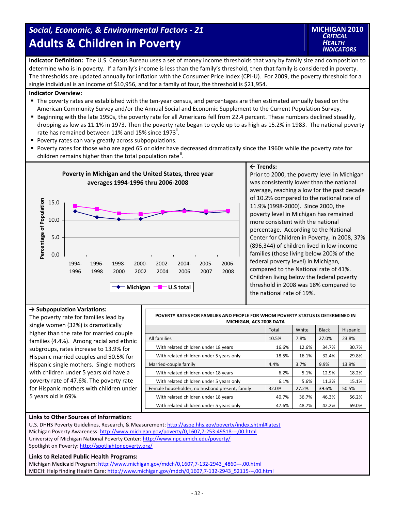## *Social, Economic, & Environmental Factors ‐ 21* **Adults & Children in Poverty**

**Indicator Definition:** The U.S. Census Bureau uses a set of money income thresholds that vary by family size and composition to determine who is in poverty. If a family's income is less than the family's threshold, then that family is considered in poverty. The thresholds are updated annually for inflation with the Consumer Price Index (CPI‐U). For 2009, the poverty threshold for a single individual is an income of \$10,956, and for a family of four, the threshold is \$21,954.

#### **Indicator Overview:**

- The poverty rates are established with the ten-year census, and percentages are then estimated annually based on the American Community Survey and/or the Annual Social and Economic Supplement to the Current Population Survey.
- Beginning with the late 1950s, the poverty rate for all Americans fell from 22.4 percent. These numbers declined steadily, dropping as low as 11.1% in 1973. Then the poverty rate began to cycle up to as high as 15.2% in 1983. The national poverty rate has remained between 11% and 15% since 1973<sup>ii</sup>.
- **Poverty rates can vary greatly across subpopulations.**
- Poverty rates for those who are aged 65 or older have decreased dramatically since the 1960s while the poverty rate for children remains higher than the total population rate<sup>"</sup>.



#### **← Trends:**

Prior to 2000, the poverty level in Michigan was consistently lower than the national average, reaching a low for the past decade of 10.2% compared to the national rate of 11.9% (1998‐2000). Since 2000, the poverty level in Michigan has remained more consistent with the national percentage. According to the National Center for Children in Poverty, in 2008, 37% (896,344) of children lived in low‐income families (those living below 200% of the federal poverty level) in Michigan, compared to the National rate of 41%. Children living below the federal poverty threshold in 2008 was 18% compared to the national rate of 19%.

#### **→ Subpopulation Variations:**

The poverty rate for families lead by single women (32%) is dramatically higher than the rate for married couple families (4.4%). Among racial and ethnic subgroups, rates increase to 13.9% for Hispanic married couples and 50.5% for Hispanic single mothers. Single mothers with children under 5 years old have a poverty rate of 47.6%. The poverty rate for Hispanic mothers with children under 5 years old is 69%.

| POVERTY RATES FOR FAMILIES AND PEOPLE FOR WHOM POVERTY STATUS IS DETERMINED IN<br>MICHIGAN, ACS 2008 DATA |       |       |              |          |  |
|-----------------------------------------------------------------------------------------------------------|-------|-------|--------------|----------|--|
|                                                                                                           | Total | White | <b>Black</b> | Hispanic |  |
| All families                                                                                              | 10.5% | 7.8%  | 27.0%        | 23.8%    |  |
| With related children under 18 years                                                                      | 16.6% | 12.6% | 34.7%        | 30.7%    |  |
| With related children under 5 years only                                                                  | 18.5% | 16.1% | 32.4%        | 29.8%    |  |
| Married-couple family                                                                                     | 4.4%  | 3.7%  | 9.9%         | 13.9%    |  |
| With related children under 18 years                                                                      | 6.2%  | 5.1%  | 12.9%        | 18.2%    |  |
| With related children under 5 years only                                                                  | 6.1%  | 5.6%  | 11.3%        | 15.1%    |  |
| Female householder, no husband present, family                                                            | 32.0% | 27.2% | 39.6%        | 50.5%    |  |
| With related children under 18 years                                                                      | 40.7% | 36.7% | 46.3%        | 56.2%    |  |
| With related children under 5 years only                                                                  | 47.6% | 48.7% | 42.2%        | 69.0%    |  |

#### **Links to Other Sources of Information:**

U.S. DHHS Poverty Guidelines, Research, & Measurement: http://aspe.hhs.gov/poverty/index.shtml#latest Michigan Poverty Awareness: http://www.michigan.gov/poverty/0,1607,7‐253‐49518‐‐‐,00.html University of Michigan National Poverty Center: http://www.npc.umich.edu/poverty/ Spotlight on Poverty: http://spotlightonpoverty.org/

#### **Links to Related Public Health Programs:**

Michigan Medicaid Program: http://www.michigan.gov/mdch/0,1607,7-132-2943\_4860---,00.html MDCH: Help finding Health Care: http://www.michigan.gov/mdch/0,1607,7-132-2943\_52115---,00.html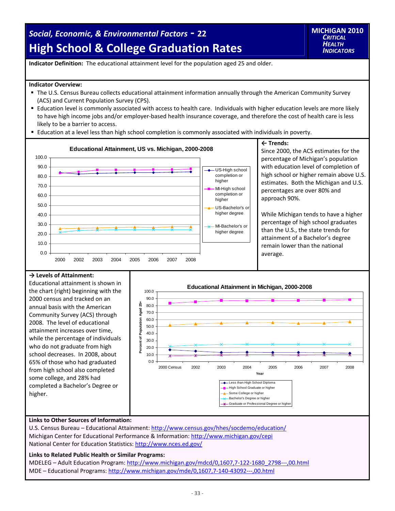## *Social, Economic, & Environmental Factors* **‐ <sup>22</sup> High School & College Graduation Rates**

**Indicator Definition:** The educational attainment level for the population aged 25 and older.

#### **Indicator Overview:**

- The U.S. Census Bureau collects educational attainment information annually through the American Community Survey (ACS) and Current Population Survey (CPS).
- Education level is commonly associated with access to health care. Individuals with higher education levels are more likely to have high income jobs and/or employer-based health insurance coverage, and therefore the cost of health care is less likely to be a barrier to access.
- Education at a level less than high school completion is commonly associated with individuals in poverty.



Since 2000, the ACS estimates for the percentage of Michigan's population with education level of completion of high school or higher remain above U.S. estimates. Both the Michigan and U.S. percentages are over 80% and

While Michigan tends to have a higher percentage of high school graduates than the U.S., the state trends for attainment of a Bachelor's degree remain lower than the national

#### **→ Levels of Attainment:**

Educational attainment is shown in the chart (right) beginning with the 2000 census and tracked on an annual basis with the American Community Survey (ACS) through 2008. The level of educational attainment increases over time, while the percentage of individuals who do not graduate from high school decreases. In 2008, about 65% of those who had graduated from high school also completed some college, and 28% had completed a Bachelor's Degree or higher.



#### **Links to Other Sources of Information:**

U.S. Census Bureau – Educational Attainment: http://www.census.gov/hhes/socdemo/education/ Michigan Center for Educational Performance & Information: http://www.michigan.gov/cepi National Center for Education Statistics: http://www.nces.ed.gov/

#### **Links to Related Public Health or Similar Programs:**

MDELEG – Adult Education Program: http://www.michigan.gov/mdcd/0,1607,7‐122‐1680\_2798‐‐‐,00.html MDE – Educational Programs: http://www.michigan.gov/mde/0,1607,7‐140‐43092‐‐‐,00.html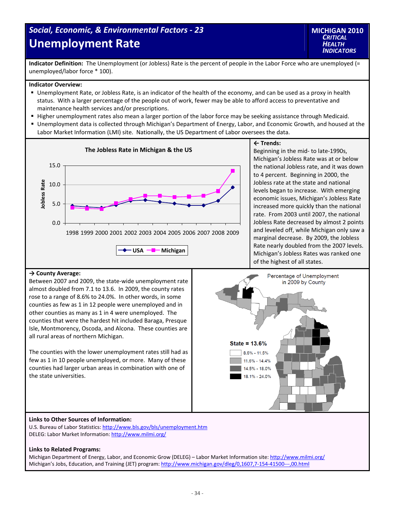## *Social, Economic, & Environmental Factors ‐ 23* **Unemployment Rate**

**MICHIGAN 2010** *CRITICAL HEALTH INDICATORS*

**Indicator Definition:** The Unemployment (or Jobless) Rate is the percent of people in the Labor Force who are unemployed (= unemployed/labor force \* 100).

#### **Indicator Overview:**

- Unemployment Rate, or Jobless Rate, is an indicator of the health of the economy, and can be used as a proxy in health status. With a larger percentage of the people out of work, fewer may be able to afford access to preventative and maintenance health services and/or prescriptions.
- Higher unemployment rates also mean a larger portion of the labor force may be seeking assistance through Medicaid.
- Unemployment data is collected through Michigan's Department of Energy, Labor, and Economic Growth, and housed at the Labor Market Information (LMI) site. Nationally, the US Department of Labor oversees the data.



#### **← Trends:**

Beginning in the mid‐ to late‐1990s, Michigan's Jobless Rate was at or below the national Jobless rate, and it was down to 4 percent. Beginning in 2000, the Jobless rate at the state and national levels began to increase. With emerging economic issues, Michigan's Jobless Rate increased more quickly than the national rate. From 2003 until 2007, the national Jobless Rate decreased by almost 2 points and leveled off, while Michigan only saw a marginal decrease. By 2009, the Jobless Rate nearly doubled from the 2007 levels. Michigan's Jobless Rates was ranked one of the highest of all states.

#### **→ County Average:**

Between 2007 and 2009, the state‐wide unemployment rate almost doubled from 7.1 to 13.6. In 2009, the county rates rose to a range of 8.6% to 24.0%. In other words, in some counties as few as 1 in 12 people were unemployed and in other counties as many as 1 in 4 were unemployed. The counties that were the hardest hit included Baraga, Presque Isle, Montmorency, Oscoda, and Alcona. These counties are all rural areas of northern Michigan.

The counties with the lower unemployment rates still had as few as 1 in 10 people unemployed, or more. Many of these counties had larger urban areas in combination with one of the state universities.



#### **Links to Other Sources of Information:**

U.S. Bureau of Labor Statistics: http://www.bls.gov/bls/unemployment.htm DELEG: Labor Market Information: http://www.milmi.org/

#### **Links to Related Programs:**

Michigan Department of Energy, Labor, and Economic Grow (DELEG) – Labor Market Information site: http://www.milmi.org/ Michigan's Jobs, Education, and Training (JET) program: http://www.michigan.gov/dleg/0,1607,7-154-41500---,00.html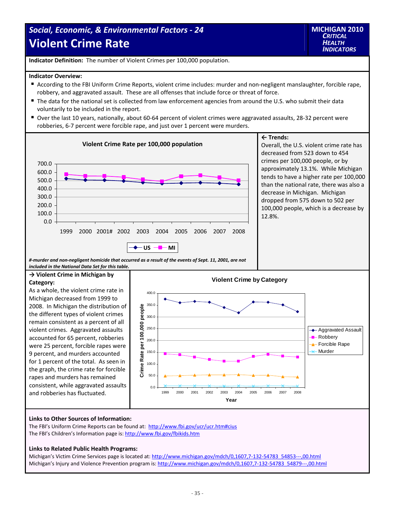## *Social, Economic, & Environmental Factors ‐ 24* **Violent Crime Rate**

**Indicator Definition:** The number of Violent Crimes per 100,000 population.

#### **Indicator Overview:**

- According to the FBI Uniform Crime Reports, violent crime includes: murder and non-negligent manslaughter, forcible rape, robbery, and aggravated assault. These are all offenses that include force or threat of force.
- The data for the national set is collected from law enforcement agencies from around the U.S. who submit their data voluntarily to be included in the report.
- Over the last 10 years, nationally, about 60-64 percent of violent crimes were aggravated assaults, 28-32 percent were robberies, 6‐7 percent were forcible rape, and just over 1 percent were murders.



#### **← Trends:**

Overall, the U.S. violent crime rate has decreased from 523 down to 454 crimes per 100,000 people, or by approximately 13.1%. While Michigan tends to have a higher rate per 100,000 than the national rate, there was also a decrease in Michigan. Michigan dropped from 575 down to 502 per 100,000 people, which is a decrease by 12.8%.

#-murder and non-negligent homicide that occurred as a result of the events of Sept. 11, 2001, are not *included in the National Data Set for this table.*

#### **→ Violent Crime in Michigan by Category:**

As a whole, the violent crime rate in Michigan decreased from 1999 to 2008.In Michigan the distribution of the different types of violent crimes remain consistent as a percent of all violent crimes. Aggravated assaults accounted for 65 percent, robberies were 25 percent, forcible rapes were 9 percent, and murders accounted for 1 percent of the total. As seen in the graph, the crime rate for forcible rapes and murders has remained consistent, while aggravated assaults and robberies has fluctuated.



#### **Links to Other Sources of Information:**

The FBI's Uniform Crime Reports can be found at: http://www.fbi.gov/ucr/ucr.htm#cius The FBI's Children's Information page is: http://www.fbi.gov/fbikids.htm

#### **Links to Related Public Health Programs:**

Michigan's Victim Crime Services page is located at: http://www.michigan.gov/mdch/0,1607,7-132-54783\_54853---,00.html Michigan's Injury and Violence Prevention program is: http://www.michigan.gov/mdch/0,1607,7-132-54783\_54879---,00.html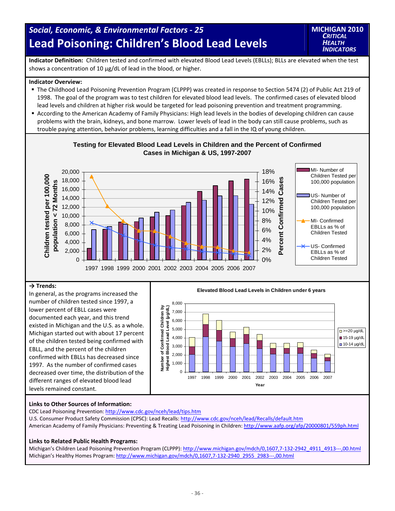## *Social, Economic, & Environmental Factors ‐ 25* **Lead Poisoning: Children's Blood Lead Levels**

**MICHIGAN 2010** *CRITICAL HEALTH INDICATORS*

**Indicator Definition:** Children tested and confirmed with elevated Blood Lead Levels (EBLLs); BLLs are elevated when the test shows a concentration of 10 µg/dL of lead in the blood, or higher.

#### **Indicator Overview:**

- The Childhood Lead Poisoning Prevention Program (CLPPP) was created in response to Section 5474 (2) of Public Act 219 of 1998. The goal of the program was to test children for elevated blood lead levels. The confirmed cases of elevated blood lead levels and children at higher risk would be targeted for lead poisoning prevention and treatment programming.
- According to the American Academy of Family Physicians: High lead levels in the bodies of developing children can cause problems with the brain, kidneys, and bone marrow. Lower levels of lead in the body can still cause problems, such as trouble paying attention, behavior problems, learning difficulties and a fall in the IQ of young children.



### **Testing for Elevated Blood Lead Levels in Children and the Percent of Confirmed Cases in Michigan & US, 1997-2007**

#### **→ Trends:**

number of children tested since 1997, a lower percent of EBLL cases were documented each year, and this trend existed in Michigan and the U.S. as a whole. Michigan started out with about 17 percent of the children tested being confirmed with EBLL, and the percent of the children confirmed with EBLLs has decreased since 1997. As the number of confirmed cases decreased over time, the distribution of the different ranges of elevated blood lead levels remained constant.



#### **Links to Other Sources of Information:**

CDC Lead Poisoning Prevention: http://www.cdc.gov/nceh/lead/tips.htm U.S. Consumer Product Safety Commission (CPSC): Lead Recalls: http://www.cdc.gov/nceh/lead/Recalls/default.htm American Academy of Family Physicians: Preventing & Treating Lead Poisoning in Children: http://www.aafp.org/afp/20000801/559ph.html

#### **Links to Related Public Health Programs:**

Michigan's Children Lead Poisoning Prevention Program (CLPPP): http://www.michigan.gov/mdch/0,1607,7-132-2942\_4911\_4913---,00.html Michigan's Healthy Homes Program: http://www.michigan.gov/mdch/0,1607,7-132-2940\_2955\_2983---,00.html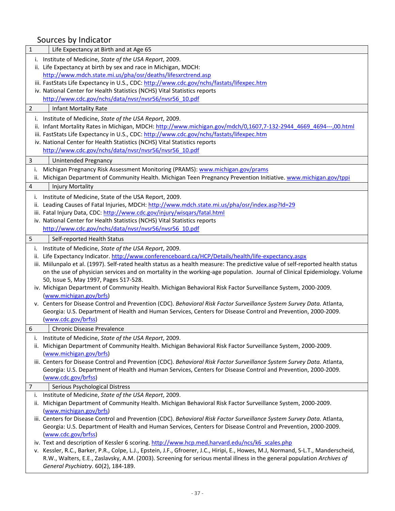| $\mathbf 1$ | Life Expectancy at Birth and at Age 65                                                                                                             |
|-------------|----------------------------------------------------------------------------------------------------------------------------------------------------|
|             | i. Institute of Medicine, State of the USA Report, 2009.                                                                                           |
|             | ii. Life Expectancy at birth by sex and race in Michigan, MDCH:                                                                                    |
|             | http://www.mdch.state.mi.us/pha/osr/deaths/lifesxrctrend.asp                                                                                       |
|             | iii. FastStats Life Expectancy in U.S., CDC: http://www.cdc.gov/nchs/fastats/lifexpec.htm                                                          |
|             | iv. National Center for Health Statistics (NCHS) Vital Statistics reports                                                                          |
|             | http://www.cdc.gov/nchs/data/nvsr/nvsr56/nvsr56 10.pdf                                                                                             |
| 2           | <b>Infant Mortality Rate</b>                                                                                                                       |
|             | i. Institute of Medicine, State of the USA Report, 2009.                                                                                           |
|             | ii. Infant Mortality Rates in Michigan, MDCH: http://www.michigan.gov/mdch/0,1607,7-132-2944_4669_4694---,00.html                                  |
|             | iii. FastStats Life Expectancy in U.S., CDC: http://www.cdc.gov/nchs/fastats/lifexpec.htm                                                          |
|             | iv. National Center for Health Statistics (NCHS) Vital Statistics reports                                                                          |
|             | http://www.cdc.gov/nchs/data/nvsr/nvsr56/nvsr56 10.pdf                                                                                             |
| 3           | Unintended Pregnancy                                                                                                                               |
| i.          | Michigan Pregnancy Risk Assessment Monitoring (PRAMS): www.michigan.gov/prams                                                                      |
|             | ii. Michigan Department of Community Health. Michigan Teen Pregnancy Prevention Initiative. www.michigan.gov/tppi                                  |
| 4           | <b>Injury Mortality</b>                                                                                                                            |
| ı.          | Institute of Medicine, State of the USA Report, 2009.                                                                                              |
| ii.         | Leading Causes of Fatal Injuries, MDCH: http://www.mdch.state.mi.us/pha/osr/index.asp?Id=29                                                        |
|             | iii. Fatal Injury Data, CDC: http://www.cdc.gov/injury/wisqars/fatal.html                                                                          |
|             | iv. National Center for Health Statistics (NCHS) Vital Statistics reports                                                                          |
|             | http://www.cdc.gov/nchs/data/nvsr/nvsr56/nvsr56_10.pdf                                                                                             |
| 5           | Self-reported Health Status                                                                                                                        |
|             | i. Institute of Medicine, State of the USA Report, 2009.                                                                                           |
| ii.         | Life Expectancy Indicator. http://www.conferenceboard.ca/HCP/Details/health/life-expectancy.aspx                                                   |
|             | iii. Miilunpalo et al. (1997). Self-rated health status as a health measure: The predictive value of self-reported health status                   |
|             | on the use of physician services and on mortality in the working-age population. Journal of Clinical Epidemiology. Volume                          |
|             | 50, Issue 5, May 1997, Pages 517-528.                                                                                                              |
|             | iv. Michigan Department of Community Health. Michigan Behavioral Risk Factor Surveillance System, 2000-2009.                                       |
|             | (www.michigan.gov/brfs)                                                                                                                            |
|             | v. Centers for Disease Control and Prevention (CDC). Behavioral Risk Factor Surveillance System Survey Data. Atlanta,                              |
|             | Georgia: U.S. Department of Health and Human Services, Centers for Disease Control and Prevention, 2000-2009.<br>(www.cdc.gov/brfss)               |
|             |                                                                                                                                                    |
| 6           | <b>Chronic Disease Prevalence</b>                                                                                                                  |
| ı.          | Institute of Medicine, State of the USA Report, 2009.                                                                                              |
| ii.         | Michigan Department of Community Health. Michigan Behavioral Risk Factor Surveillance System, 2000-2009.                                           |
|             | (www.michigan.gov/brfs)<br>iii. Centers for Disease Control and Prevention (CDC). Behavioral Risk Factor Surveillance System Survey Data. Atlanta, |
|             | Georgia: U.S. Department of Health and Human Services, Centers for Disease Control and Prevention, 2000-2009.                                      |
|             | (www.cdc.gov/brfss)                                                                                                                                |
| 7           | Serious Psychological Distress                                                                                                                     |
| ı.          | Institute of Medicine, State of the USA Report, 2009.                                                                                              |
| ii.         | Michigan Department of Community Health. Michigan Behavioral Risk Factor Surveillance System, 2000-2009.                                           |
|             | (www.michigan.gov/brfs)                                                                                                                            |
|             | iii. Centers for Disease Control and Prevention (CDC). Behavioral Risk Factor Surveillance System Survey Data. Atlanta,                            |
|             | Georgia: U.S. Department of Health and Human Services, Centers for Disease Control and Prevention, 2000-2009.                                      |
|             | (www.cdc.gov/brfss)                                                                                                                                |
|             | iv. Text and description of Kessler 6 scoring. http://www.hcp.med.harvard.edu/ncs/k6 scales.php                                                    |
|             | v. Kessler, R.C., Barker, P.R., Colpe, L.J., Epstein, J.F., Gfroerer, J.C., Hiripi, E., Howes, M.J, Normand, S-L.T., Manderscheid,                 |
|             | R.W., Walters, E.E., Zaslavsky, A.M. (2003). Screening for serious mental illness in the general population Archives of                            |
|             | General Psychiatry. 60(2), 184-189.                                                                                                                |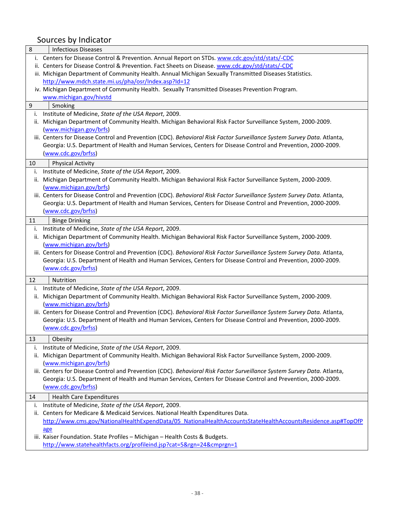| 8                | <b>Infectious Diseases</b>                                                                                                                                                                                                               |
|------------------|------------------------------------------------------------------------------------------------------------------------------------------------------------------------------------------------------------------------------------------|
|                  | i. Centers for Disease Control & Prevention. Annual Report on STDs. www.cdc.gov/std/stats/-CDC                                                                                                                                           |
|                  | ii. Centers for Disease Control & Prevention. Fact Sheets on Disease. www.cdc.gov/std/stats/-CDC                                                                                                                                         |
|                  | iii. Michigan Department of Community Health. Annual Michigan Sexually Transmitted Diseases Statistics.                                                                                                                                  |
|                  | http://www.mdch.state.mi.us/pha/osr/Index.asp?Id=12                                                                                                                                                                                      |
|                  | iv. Michigan Department of Community Health. Sexually Transmitted Diseases Prevention Program.                                                                                                                                           |
|                  | www.michigan.gov/hivstd                                                                                                                                                                                                                  |
| $\boldsymbol{9}$ | Smoking                                                                                                                                                                                                                                  |
|                  | i. Institute of Medicine, State of the USA Report, 2009.                                                                                                                                                                                 |
|                  | ii. Michigan Department of Community Health. Michigan Behavioral Risk Factor Surveillance System, 2000-2009.                                                                                                                             |
|                  | (www.michigan.gov/brfs)                                                                                                                                                                                                                  |
|                  | iii. Centers for Disease Control and Prevention (CDC). Behavioral Risk Factor Surveillance System Survey Data. Atlanta,                                                                                                                  |
|                  | Georgia: U.S. Department of Health and Human Services, Centers for Disease Control and Prevention, 2000-2009.                                                                                                                            |
|                  | (www.cdc.gov/brfss)                                                                                                                                                                                                                      |
| 10               | <b>Physical Activity</b>                                                                                                                                                                                                                 |
| i.               | Institute of Medicine, State of the USA Report, 2009.                                                                                                                                                                                    |
|                  | ii. Michigan Department of Community Health. Michigan Behavioral Risk Factor Surveillance System, 2000-2009.                                                                                                                             |
|                  | (www.michigan.gov/brfs)                                                                                                                                                                                                                  |
|                  | iii. Centers for Disease Control and Prevention (CDC). Behavioral Risk Factor Surveillance System Survey Data. Atlanta,                                                                                                                  |
|                  | Georgia: U.S. Department of Health and Human Services, Centers for Disease Control and Prevention, 2000-2009.                                                                                                                            |
|                  | (www.cdc.gov/brfss)                                                                                                                                                                                                                      |
| 11               | <b>Binge Drinking</b>                                                                                                                                                                                                                    |
| i.               | Institute of Medicine, State of the USA Report, 2009.                                                                                                                                                                                    |
| ii.              | Michigan Department of Community Health. Michigan Behavioral Risk Factor Surveillance System, 2000-2009.                                                                                                                                 |
|                  | (www.michigan.gov/brfs)                                                                                                                                                                                                                  |
|                  | iii. Centers for Disease Control and Prevention (CDC). Behavioral Risk Factor Surveillance System Survey Data. Atlanta,                                                                                                                  |
|                  | Georgia: U.S. Department of Health and Human Services, Centers for Disease Control and Prevention, 2000-2009.                                                                                                                            |
|                  | (www.cdc.gov/brfss)                                                                                                                                                                                                                      |
| 12               | Nutrition                                                                                                                                                                                                                                |
| i.               | Institute of Medicine, State of the USA Report, 2009.                                                                                                                                                                                    |
|                  | ii. Michigan Department of Community Health. Michigan Behavioral Risk Factor Surveillance System, 2000-2009.                                                                                                                             |
|                  | (www.michigan.gov/brfs)                                                                                                                                                                                                                  |
|                  | iii. Centers for Disease Control and Prevention (CDC). Behavioral Risk Factor Surveillance System Survey Data. Atlanta,                                                                                                                  |
|                  | Georgia: U.S. Department of Health and Human Services, Centers for Disease Control and Prevention, 2000-2009.                                                                                                                            |
|                  | (www.cdc.gov/brfss)                                                                                                                                                                                                                      |
|                  |                                                                                                                                                                                                                                          |
| 13               | Obesity                                                                                                                                                                                                                                  |
| i.               | Institute of Medicine, State of the USA Report, 2009.                                                                                                                                                                                    |
| ii.              | Michigan Department of Community Health. Michigan Behavioral Risk Factor Surveillance System, 2000-2009.                                                                                                                                 |
|                  | (www.michigan.gov/brfs)                                                                                                                                                                                                                  |
|                  | iii. Centers for Disease Control and Prevention (CDC). Behavioral Risk Factor Surveillance System Survey Data. Atlanta,<br>Georgia: U.S. Department of Health and Human Services, Centers for Disease Control and Prevention, 2000-2009. |
|                  | (www.cdc.gov/brfss)                                                                                                                                                                                                                      |
|                  |                                                                                                                                                                                                                                          |
| 14               | <b>Health Care Expenditures</b>                                                                                                                                                                                                          |
| ı.               | Institute of Medicine, State of the USA Report, 2009.                                                                                                                                                                                    |
| ii.              | Centers for Medicare & Medicaid Services. National Health Expenditures Data.                                                                                                                                                             |
|                  | http://www.cms.gov/NationalHealthExpendData/05 NationalHealthAccountsStateHealthAccountsResidence.asp#TopOfP                                                                                                                             |
|                  | age                                                                                                                                                                                                                                      |
|                  | iii. Kaiser Foundation. State Profiles - Michigan - Health Costs & Budgets.                                                                                                                                                              |
|                  | http://www.statehealthfacts.org/profileind.jsp?cat=5&rgn=24&cmprgn=1                                                                                                                                                                     |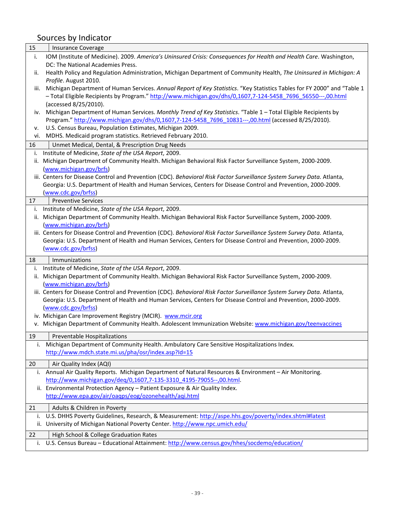| 15       | <b>Insurance Coverage</b>                                                                                                                                |
|----------|----------------------------------------------------------------------------------------------------------------------------------------------------------|
| i.       | IOM (Institute of Medicine). 2009. America's Uninsured Crisis: Consequences for Health and Health Care. Washington,<br>DC: The National Academies Press. |
| ii.      | Health Policy and Regulation Administration, Michigan Department of Community Health, The Uninsured in Michigan: A                                       |
|          | Profile. August 2010.                                                                                                                                    |
| iii.     | Michigan Department of Human Services. Annual Report of Key Statistics. "Key Statistics Tables for FY 2000" and "Table 1                                 |
|          | - Total Eligible Recipients by Program." http://www.michigan.gov/dhs/0,1607,7-124-5458 7696 56550---,00.html<br>(accessed 8/25/2010).                    |
|          | iv. Michigan Department of Human Services. Monthly Trend of Key Statistics. "Table 1 - Total Eligible Recipients by                                      |
|          | Program." http://www.michigan.gov/dhs/0,1607,7-124-5458 7696 10831---,00.html (accessed 8/25/2010).                                                      |
| ν.       | U.S. Census Bureau, Population Estimates, Michigan 2009.                                                                                                 |
|          | vi. MDHS. Medicaid program statistics. Retrieved February 2010.                                                                                          |
| 16       | Unmet Medical, Dental, & Prescription Drug Needs                                                                                                         |
| i.       | Institute of Medicine, State of the USA Report, 2009.                                                                                                    |
| ii.      | Michigan Department of Community Health. Michigan Behavioral Risk Factor Surveillance System, 2000-2009.                                                 |
|          | (www.michigan.gov/brfs)                                                                                                                                  |
|          | iii. Centers for Disease Control and Prevention (CDC). Behavioral Risk Factor Surveillance System Survey Data. Atlanta,                                  |
|          | Georgia: U.S. Department of Health and Human Services, Centers for Disease Control and Prevention, 2000-2009.                                            |
|          | (www.cdc.gov/brfss)                                                                                                                                      |
| 17       | <b>Preventive Services</b>                                                                                                                               |
| i.       | Institute of Medicine, State of the USA Report, 2009.                                                                                                    |
| ii.      | Michigan Department of Community Health. Michigan Behavioral Risk Factor Surveillance System, 2000-2009.                                                 |
|          | (www.michigan.gov/brfs)                                                                                                                                  |
|          | iii. Centers for Disease Control and Prevention (CDC). Behavioral Risk Factor Surveillance System Survey Data. Atlanta,                                  |
|          | Georgia: U.S. Department of Health and Human Services, Centers for Disease Control and Prevention, 2000-2009.<br>(www.cdc.gov/brfss)                     |
|          |                                                                                                                                                          |
| 18       | Immunizations                                                                                                                                            |
|          |                                                                                                                                                          |
| i.       | Institute of Medicine, State of the USA Report, 2009.                                                                                                    |
| ii.      | Michigan Department of Community Health. Michigan Behavioral Risk Factor Surveillance System, 2000-2009.                                                 |
|          | (www.michigan.gov/brfs)                                                                                                                                  |
|          | iii. Centers for Disease Control and Prevention (CDC). Behavioral Risk Factor Surveillance System Survey Data. Atlanta,                                  |
|          | Georgia: U.S. Department of Health and Human Services, Centers for Disease Control and Prevention, 2000-2009.                                            |
|          | (www.cdc.gov/brfss)                                                                                                                                      |
|          | iv. Michigan Care Improvement Registry (MCIR). www.mcir.org                                                                                              |
|          | v. Michigan Department of Community Health. Adolescent Immunization Website: www.michigan.gov/teenvaccines                                               |
| 19       | Preventable Hospitalizations                                                                                                                             |
| i.       | Michigan Department of Community Health. Ambulatory Care Sensitive Hospitalizations Index.                                                               |
|          | http://www.mdch.state.mi.us/pha/osr/index.asp?Id=15                                                                                                      |
| 20       |                                                                                                                                                          |
|          | Air Quality Index (AQI)<br>i. Annual Air Quality Reports. Michigan Department of Natural Resources & Environment - Air Monitoring.                       |
|          | http://www.michigan.gov/deq/0,1607,7-135-3310 4195-79055--,00.html.                                                                                      |
|          | ii. Environmental Protection Agency - Patient Exposure & Air Quality Index.                                                                              |
|          | http://www.epa.gov/air/oagps/eog/ozonehealth/agi.html                                                                                                    |
|          |                                                                                                                                                          |
| 21       | Adults & Children in Poverty                                                                                                                             |
| i.       | U.S. DHHS Poverty Guidelines, Research, & Measurement: http://aspe.hhs.gov/poverty/index.shtml#latest                                                    |
|          | ii. University of Michigan National Poverty Center. http://www.npc.umich.edu/                                                                            |
| 22<br>i. | High School & College Graduation Rates<br>U.S. Census Bureau - Educational Attainment: http://www.census.gov/hhes/socdemo/education/                     |